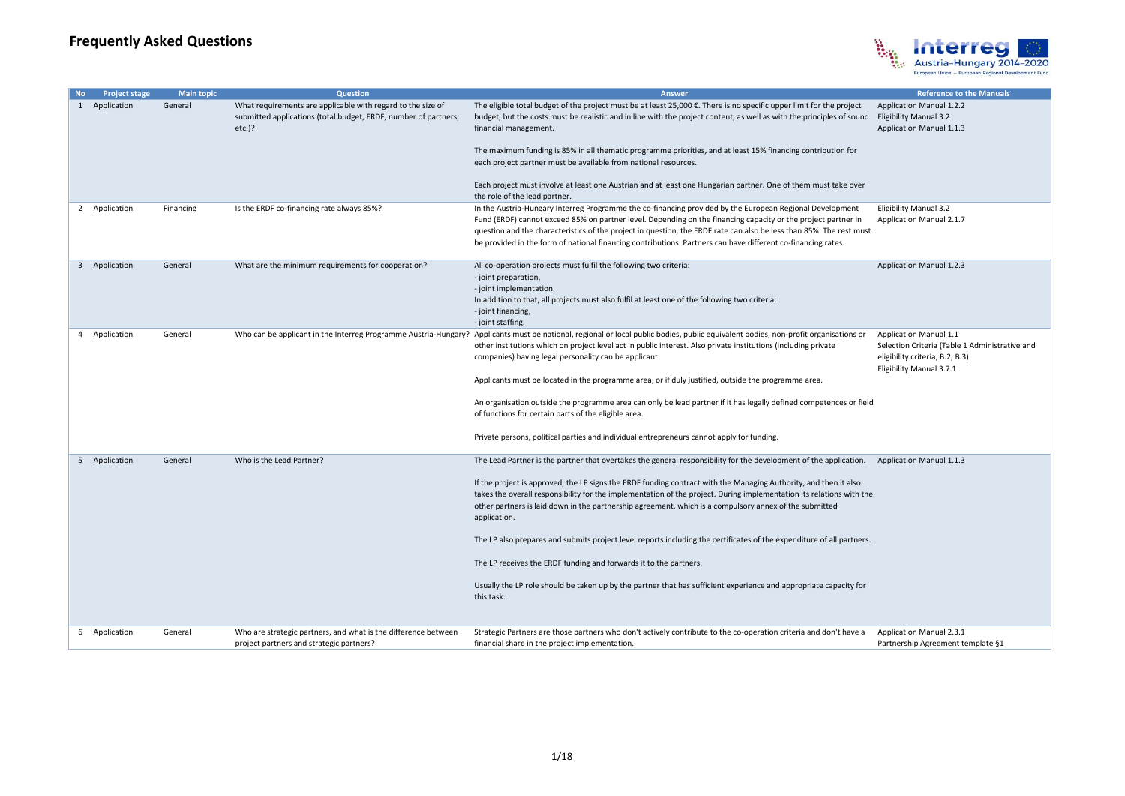

| <b>No</b> | <b>Project stage</b> | <b>Main topic</b> | <b>Question</b>                                                                                                                             | <b>Answer</b>                                                                                                                                                                                                                                                                                                                                                                                                                                                                               | <b>Reference to the Manuals</b>                                                                                                         |
|-----------|----------------------|-------------------|---------------------------------------------------------------------------------------------------------------------------------------------|---------------------------------------------------------------------------------------------------------------------------------------------------------------------------------------------------------------------------------------------------------------------------------------------------------------------------------------------------------------------------------------------------------------------------------------------------------------------------------------------|-----------------------------------------------------------------------------------------------------------------------------------------|
|           | 1 Application        | General           | What requirements are applicable with regard to the size of<br>submitted applications (total budget, ERDF, number of partners,<br>$etc.$ )? | The eligible total budget of the project must be at least $25,000 \in$ . There is no specific upper limit for the project<br>budget, but the costs must be realistic and in line with the project content, as well as with the principles of sound<br>financial management.                                                                                                                                                                                                                 | <b>Application Manual 1.2.2</b><br><b>Eligibility Manual 3.2</b><br>Application Manual 1.1.3                                            |
|           |                      |                   |                                                                                                                                             | The maximum funding is 85% in all thematic programme priorities, and at least 15% financing contribution for<br>each project partner must be available from national resources.<br>Each project must involve at least one Austrian and at least one Hungarian partner. One of them must take over                                                                                                                                                                                           |                                                                                                                                         |
|           |                      |                   |                                                                                                                                             | the role of the lead partner.                                                                                                                                                                                                                                                                                                                                                                                                                                                               |                                                                                                                                         |
|           | 2 Application        | Financing         | Is the ERDF co-financing rate always 85%?                                                                                                   | In the Austria-Hungary Interreg Programme the co-financing provided by the European Regional Development<br>Fund (ERDF) cannot exceed 85% on partner level. Depending on the financing capacity or the project partner in<br>question and the characteristics of the project in question, the ERDF rate can also be less than 85%. The rest must<br>be provided in the form of national financing contributions. Partners can have different co-financing rates.                            | <b>Eligibility Manual 3.2</b><br>Application Manual 2.1.7                                                                               |
|           | 3 Application        | General           | What are the minimum requirements for cooperation?                                                                                          | All co-operation projects must fulfil the following two criteria:<br>- joint preparation,<br>- joint implementation.<br>In addition to that, all projects must also fulfil at least one of the following two criteria:<br>- joint financing,<br>- joint staffing.                                                                                                                                                                                                                           | Application Manual 1.2.3                                                                                                                |
|           | 4 Application        | General           |                                                                                                                                             | Who can be applicant in the Interreg Programme Austria-Hungary? Applicants must be national, regional or local public bodies, public equivalent bodies, non-profit organisations or<br>other institutions which on project level act in public interest. Also private institutions (including private<br>companies) having legal personality can be applicant.<br>Applicants must be located in the programme area, or if duly justified, outside the programme area.                       | Application Manual 1.1<br>Selection Criteria (Table 1 Administrative and<br>eligibility criteria; B.2, B.3)<br>Eligibility Manual 3.7.1 |
|           |                      |                   |                                                                                                                                             | An organisation outside the programme area can only be lead partner if it has legally defined competences or field<br>of functions for certain parts of the eligible area.<br>Private persons, political parties and individual entrepreneurs cannot apply for funding.                                                                                                                                                                                                                     |                                                                                                                                         |
|           | 5 Application        | General           | Who is the Lead Partner?                                                                                                                    | The Lead Partner is the partner that overtakes the general responsibility for the development of the application. Application Manual 1.1.3                                                                                                                                                                                                                                                                                                                                                  |                                                                                                                                         |
|           |                      |                   |                                                                                                                                             | If the project is approved, the LP signs the ERDF funding contract with the Managing Authority, and then it also<br>takes the overall responsibility for the implementation of the project. During implementation its relations with the<br>other partners is laid down in the partnership agreement, which is a compulsory annex of the submitted<br>application.<br>The LP also prepares and submits project level reports including the certificates of the expenditure of all partners. |                                                                                                                                         |
|           |                      |                   |                                                                                                                                             |                                                                                                                                                                                                                                                                                                                                                                                                                                                                                             |                                                                                                                                         |
|           |                      |                   |                                                                                                                                             | The LP receives the ERDF funding and forwards it to the partners.<br>Usually the LP role should be taken up by the partner that has sufficient experience and appropriate capacity for<br>this task.                                                                                                                                                                                                                                                                                        |                                                                                                                                         |
|           | 6 Application        | General           | Who are strategic partners, and what is the difference between<br>project partners and strategic partners?                                  | Strategic Partners are those partners who don't actively contribute to the co-operation criteria and don't have a<br>financial share in the project implementation.                                                                                                                                                                                                                                                                                                                         | Application Manual 2.3.1<br>Partnership Agreement template §1                                                                           |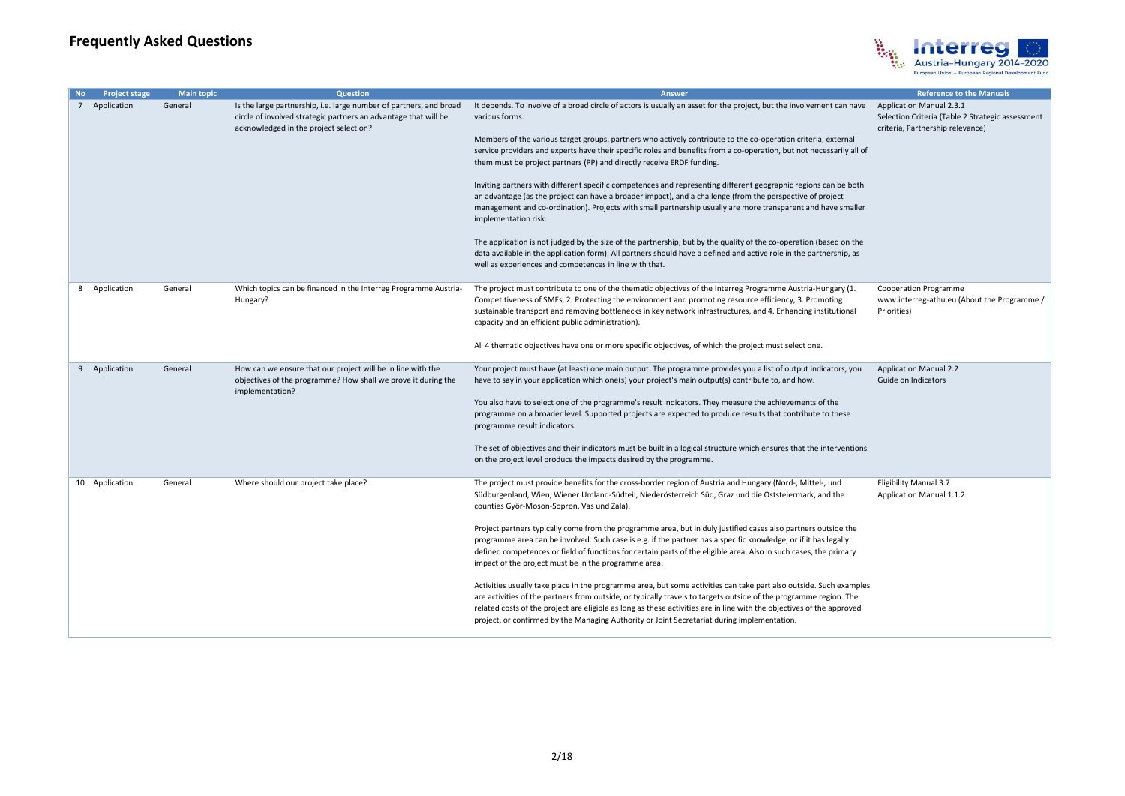

| <b>No</b> | <b>Project stage</b> | <b>Main topic</b> | <b>Question</b>                                                                                                                                                                 | <b>Answer</b>                                                                                                                                                                                                                                                                                                                                                                                                                                                   | <b>Reference to the Manuals</b>                                                                                  |
|-----------|----------------------|-------------------|---------------------------------------------------------------------------------------------------------------------------------------------------------------------------------|-----------------------------------------------------------------------------------------------------------------------------------------------------------------------------------------------------------------------------------------------------------------------------------------------------------------------------------------------------------------------------------------------------------------------------------------------------------------|------------------------------------------------------------------------------------------------------------------|
|           | 7 Application        | General           | Is the large partnership, i.e. large number of partners, and broad<br>circle of involved strategic partners an advantage that will be<br>acknowledged in the project selection? | It depends. To involve of a broad circle of actors is usually an asset for the project, but the involvement can have<br>various forms.                                                                                                                                                                                                                                                                                                                          | Application Manual 2.3.1<br>Selection Criteria (Table 2 Strategic assessment<br>criteria, Partnership relevance) |
|           |                      |                   |                                                                                                                                                                                 | Members of the various target groups, partners who actively contribute to the co-operation criteria, external<br>service providers and experts have their specific roles and benefits from a co-operation, but not necessarily all of<br>them must be project partners (PP) and directly receive ERDF funding.                                                                                                                                                  |                                                                                                                  |
|           |                      |                   |                                                                                                                                                                                 | Inviting partners with different specific competences and representing different geographic regions can be both<br>an advantage (as the project can have a broader impact), and a challenge (from the perspective of project<br>management and co-ordination). Projects with small partnership usually are more transparent and have smaller<br>implementation risk.                                                                                            |                                                                                                                  |
|           |                      |                   |                                                                                                                                                                                 | The application is not judged by the size of the partnership, but by the quality of the co-operation (based on the<br>data available in the application form). All partners should have a defined and active role in the partnership, as<br>well as experiences and competences in line with that.                                                                                                                                                              |                                                                                                                  |
|           | 8 Application        | General           | Which topics can be financed in the Interreg Programme Austria-<br>Hungary?                                                                                                     | The project must contribute to one of the thematic objectives of the Interreg Programme Austria-Hungary (1.<br>Competitiveness of SMEs, 2. Protecting the environment and promoting resource efficiency, 3. Promoting<br>sustainable transport and removing bottlenecks in key network infrastructures, and 4. Enhancing institutional<br>capacity and an efficient public administration).                                                                     | <b>Cooperation Programme</b><br>www.interreg-athu.eu (About the Programme /<br>Priorities)                       |
|           |                      |                   |                                                                                                                                                                                 | All 4 thematic objectives have one or more specific objectives, of which the project must select one.                                                                                                                                                                                                                                                                                                                                                           |                                                                                                                  |
|           | 9 Application        | General           | How can we ensure that our project will be in line with the<br>objectives of the programme? How shall we prove it during the<br>implementation?                                 | Your project must have (at least) one main output. The programme provides you a list of output indicators, you<br>have to say in your application which one(s) your project's main output(s) contribute to, and how.                                                                                                                                                                                                                                            | <b>Application Manual 2.2</b><br>Guide on Indicators                                                             |
|           |                      |                   |                                                                                                                                                                                 | You also have to select one of the programme's result indicators. They measure the achievements of the<br>programme on a broader level. Supported projects are expected to produce results that contribute to these<br>programme result indicators.                                                                                                                                                                                                             |                                                                                                                  |
|           |                      |                   |                                                                                                                                                                                 | The set of objectives and their indicators must be built in a logical structure which ensures that the interventions<br>on the project level produce the impacts desired by the programme.                                                                                                                                                                                                                                                                      |                                                                                                                  |
|           | 10 Application       | General           | Where should our project take place?                                                                                                                                            | The project must provide benefits for the cross-border region of Austria and Hungary (Nord-, Mittel-, und<br>Südburgenland, Wien, Wiener Umland-Südteil, Niederösterreich Süd, Graz und die Oststeiermark, and the<br>counties Györ-Moson-Sopron, Vas und Zala).                                                                                                                                                                                                | <b>Eligibility Manual 3.7</b><br>Application Manual 1.1.2                                                        |
|           |                      |                   |                                                                                                                                                                                 | Project partners typically come from the programme area, but in duly justified cases also partners outside the<br>programme area can be involved. Such case is e.g. if the partner has a specific knowledge, or if it has legally<br>defined competences or field of functions for certain parts of the eligible area. Also in such cases, the primary<br>impact of the project must be in the programme area.                                                  |                                                                                                                  |
|           |                      |                   |                                                                                                                                                                                 | Activities usually take place in the programme area, but some activities can take part also outside. Such examples<br>are activities of the partners from outside, or typically travels to targets outside of the programme region. The<br>related costs of the project are eligible as long as these activities are in line with the objectives of the approved<br>project, or confirmed by the Managing Authority or Joint Secretariat during implementation. |                                                                                                                  |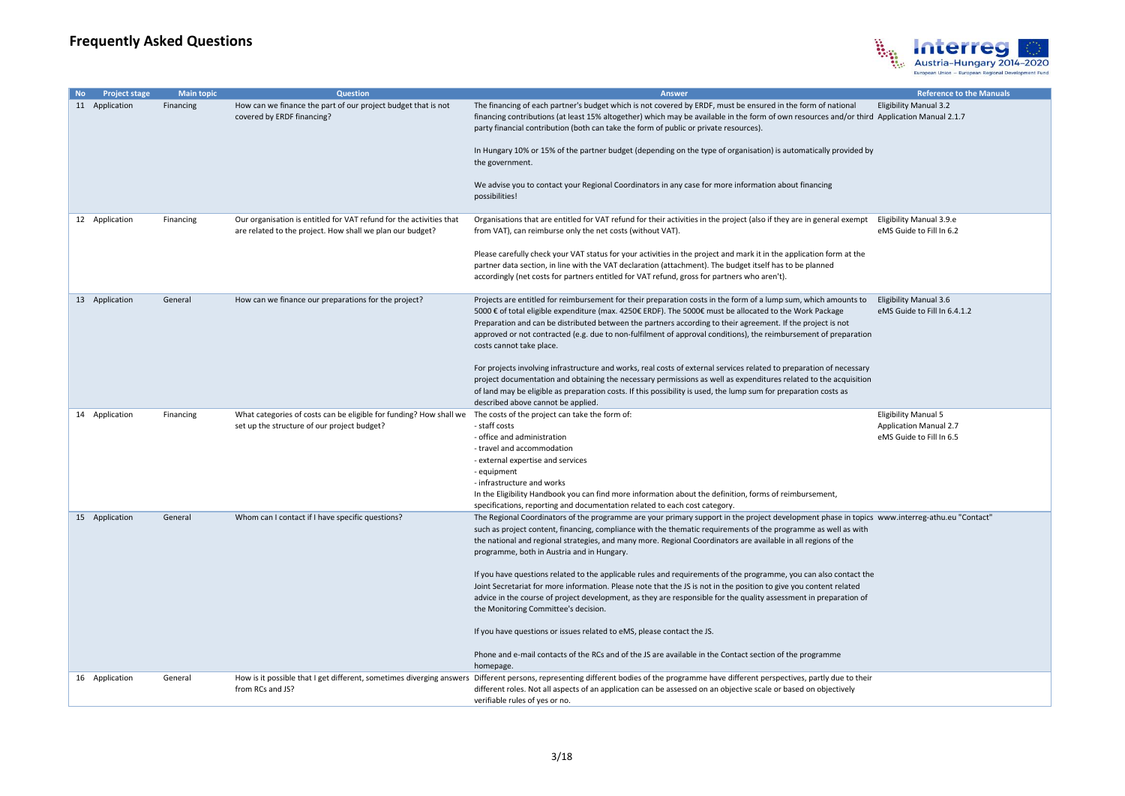

| <b>No</b> | <b>Project stage</b> | <b>Main topic</b> | <b>Ouestion</b>                                                                                                                  | Answer                                                                                                                                                                                                                                                                                                                                                                                                                                                                                                                                                                                                                                                                                                                                                                                                                                                                                                                                                                                                                                     | <b>Reference to the Manuals</b>                                                          |
|-----------|----------------------|-------------------|----------------------------------------------------------------------------------------------------------------------------------|--------------------------------------------------------------------------------------------------------------------------------------------------------------------------------------------------------------------------------------------------------------------------------------------------------------------------------------------------------------------------------------------------------------------------------------------------------------------------------------------------------------------------------------------------------------------------------------------------------------------------------------------------------------------------------------------------------------------------------------------------------------------------------------------------------------------------------------------------------------------------------------------------------------------------------------------------------------------------------------------------------------------------------------------|------------------------------------------------------------------------------------------|
|           | 11 Application       | Financing         | How can we finance the part of our project budget that is not<br>covered by ERDF financing?                                      | The financing of each partner's budget which is not covered by ERDF, must be ensured in the form of national<br>financing contributions (at least 15% altogether) which may be available in the form of own resources and/or third Application Manual 2.1.7<br>party financial contribution (both can take the form of public or private resources).<br>In Hungary 10% or 15% of the partner budget (depending on the type of organisation) is automatically provided by                                                                                                                                                                                                                                                                                                                                                                                                                                                                                                                                                                   | <b>Eligibility Manual 3.2</b>                                                            |
|           |                      |                   |                                                                                                                                  | the government.                                                                                                                                                                                                                                                                                                                                                                                                                                                                                                                                                                                                                                                                                                                                                                                                                                                                                                                                                                                                                            |                                                                                          |
|           |                      |                   |                                                                                                                                  | We advise you to contact your Regional Coordinators in any case for more information about financing<br>possibilities!                                                                                                                                                                                                                                                                                                                                                                                                                                                                                                                                                                                                                                                                                                                                                                                                                                                                                                                     |                                                                                          |
|           | 12 Application       | Financing         | Our organisation is entitled for VAT refund for the activities that<br>are related to the project. How shall we plan our budget? | Organisations that are entitled for VAT refund for their activities in the project (also if they are in general exempt<br>from VAT), can reimburse only the net costs (without VAT).                                                                                                                                                                                                                                                                                                                                                                                                                                                                                                                                                                                                                                                                                                                                                                                                                                                       | Eligibility Manual 3.9.e<br>eMS Guide to Fill In 6.2                                     |
|           |                      |                   |                                                                                                                                  | Please carefully check your VAT status for your activities in the project and mark it in the application form at the<br>partner data section, in line with the VAT declaration (attachment). The budget itself has to be planned<br>accordingly (net costs for partners entitled for VAT refund, gross for partners who aren't).                                                                                                                                                                                                                                                                                                                                                                                                                                                                                                                                                                                                                                                                                                           |                                                                                          |
|           | 13 Application       | General           | How can we finance our preparations for the project?                                                                             | Projects are entitled for reimbursement for their preparation costs in the form of a lump sum, which amounts to<br>5000 € of total eligible expenditure (max. 4250€ ERDF). The 5000€ must be allocated to the Work Package<br>Preparation and can be distributed between the partners according to their agreement. If the project is not<br>approved or not contracted (e.g. due to non-fulfilment of approval conditions), the reimbursement of preparation<br>costs cannot take place.                                                                                                                                                                                                                                                                                                                                                                                                                                                                                                                                                  | <b>Eligibility Manual 3.6</b><br>eMS Guide to Fill In 6.4.1.2                            |
|           |                      |                   |                                                                                                                                  | For projects involving infrastructure and works, real costs of external services related to preparation of necessary<br>project documentation and obtaining the necessary permissions as well as expenditures related to the acquisition<br>of land may be eligible as preparation costs. If this possibility is used, the lump sum for preparation costs as<br>described above cannot be applied.                                                                                                                                                                                                                                                                                                                                                                                                                                                                                                                                                                                                                                         |                                                                                          |
|           | 14 Application       | Financing         | What categories of costs can be eligible for funding? How shall we<br>set up the structure of our project budget?                | The costs of the project can take the form of:<br>- staff costs<br>- office and administration<br>- travel and accommodation<br>- external expertise and services<br>- equipment<br>- infrastructure and works<br>In the Eligibility Handbook you can find more information about the definition, forms of reimbursement,<br>specifications, reporting and documentation related to each cost category.                                                                                                                                                                                                                                                                                                                                                                                                                                                                                                                                                                                                                                    | <b>Eligibility Manual 5</b><br><b>Application Manual 2.7</b><br>eMS Guide to Fill In 6.5 |
|           | 15 Application       | General           | Whom can I contact if I have specific questions?                                                                                 | The Regional Coordinators of the programme are your primary support in the project development phase in topics www.interreg-athu.eu "Contact"<br>such as project content, financing, compliance with the thematic requirements of the programme as well as with<br>the national and regional strategies, and many more. Regional Coordinators are available in all regions of the<br>programme, both in Austria and in Hungary.<br>If you have questions related to the applicable rules and requirements of the programme, you can also contact the<br>Joint Secretariat for more information. Please note that the JS is not in the position to give you content related<br>advice in the course of project development, as they are responsible for the quality assessment in preparation of<br>the Monitoring Committee's decision.<br>If you have questions or issues related to eMS, please contact the JS.<br>Phone and e-mail contacts of the RCs and of the JS are available in the Contact section of the programme<br>homepage. |                                                                                          |
|           | 16 Application       | General           | from RCs and JS?                                                                                                                 | How is it possible that I get different, sometimes diverging answers Different persons, representing different bodies of the programme have different perspectives, partly due to their<br>different roles. Not all aspects of an application can be assessed on an objective scale or based on objectively<br>verifiable rules of yes or no.                                                                                                                                                                                                                                                                                                                                                                                                                                                                                                                                                                                                                                                                                              |                                                                                          |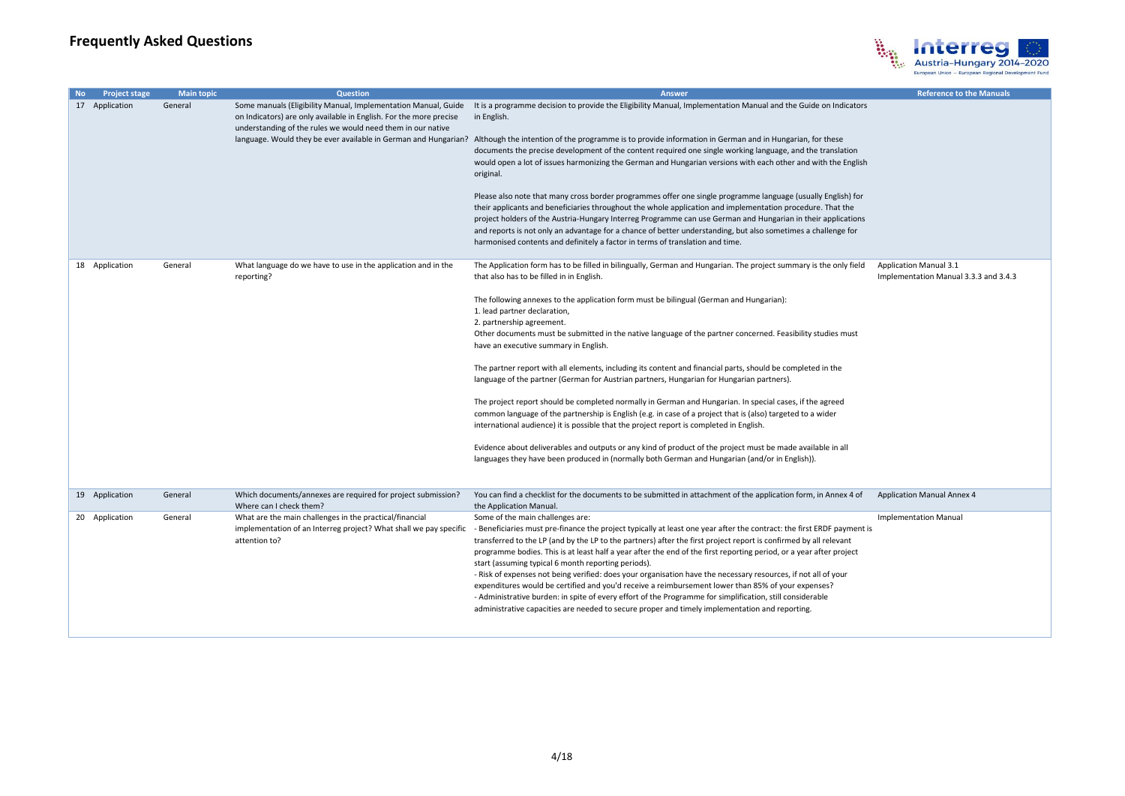

| <b>Project stage</b> | <b>Main topic</b> | <b>Question</b>                                                                                                                                                                                     | <b>Answer</b>                                                                                                                                                                                                                                                                                                                                                                                                                                                                                                                                                                                                                                                                                                                                                                                                                                                                                                                                                                                                                                                                                                                                                                                                                     | <b>Reference to the Manuals</b>                                        |
|----------------------|-------------------|-----------------------------------------------------------------------------------------------------------------------------------------------------------------------------------------------------|-----------------------------------------------------------------------------------------------------------------------------------------------------------------------------------------------------------------------------------------------------------------------------------------------------------------------------------------------------------------------------------------------------------------------------------------------------------------------------------------------------------------------------------------------------------------------------------------------------------------------------------------------------------------------------------------------------------------------------------------------------------------------------------------------------------------------------------------------------------------------------------------------------------------------------------------------------------------------------------------------------------------------------------------------------------------------------------------------------------------------------------------------------------------------------------------------------------------------------------|------------------------------------------------------------------------|
| 17 Application       | General           | Some manuals (Eligibility Manual, Implementation Manual, Guide<br>on Indicators) are only available in English. For the more precise<br>understanding of the rules we would need them in our native | It is a programme decision to provide the Eligibility Manual, Implementation Manual and the Guide on Indicators<br>in English.<br>language. Would they be ever available in German and Hungarian? Although the intention of the programme is to provide information in German and in Hungarian, for these<br>documents the precise development of the content required one single working language, and the translation<br>would open a lot of issues harmonizing the German and Hungarian versions with each other and with the English<br>original.<br>Please also note that many cross border programmes offer one single programme language (usually English) for                                                                                                                                                                                                                                                                                                                                                                                                                                                                                                                                                             |                                                                        |
|                      |                   |                                                                                                                                                                                                     | their applicants and beneficiaries throughout the whole application and implementation procedure. That the<br>project holders of the Austria-Hungary Interreg Programme can use German and Hungarian in their applications<br>and reports is not only an advantage for a chance of better understanding, but also sometimes a challenge for<br>harmonised contents and definitely a factor in terms of translation and time.                                                                                                                                                                                                                                                                                                                                                                                                                                                                                                                                                                                                                                                                                                                                                                                                      |                                                                        |
| 18 Application       | General           | What language do we have to use in the application and in the<br>reporting?                                                                                                                         | The Application form has to be filled in bilingually, German and Hungarian. The project summary is the only field<br>that also has to be filled in in English.<br>The following annexes to the application form must be bilingual (German and Hungarian):<br>1. lead partner declaration,<br>2. partnership agreement.<br>Other documents must be submitted in the native language of the partner concerned. Feasibility studies must<br>have an executive summary in English.<br>The partner report with all elements, including its content and financial parts, should be completed in the<br>language of the partner (German for Austrian partners, Hungarian for Hungarian partners).<br>The project report should be completed normally in German and Hungarian. In special cases, if the agreed<br>common language of the partnership is English (e.g. in case of a project that is (also) targeted to a wider<br>international audience) it is possible that the project report is completed in English.<br>Evidence about deliverables and outputs or any kind of product of the project must be made available in all<br>languages they have been produced in (normally both German and Hungarian (and/or in English)). | <b>Application Manual 3.1</b><br>Implementation Manual 3.3.3 and 3.4.3 |
| 19 Application       | General           | Which documents/annexes are required for project submission?<br>Where can I check them?                                                                                                             | You can find a checklist for the documents to be submitted in attachment of the application form, in Annex 4 of<br>the Application Manual.                                                                                                                                                                                                                                                                                                                                                                                                                                                                                                                                                                                                                                                                                                                                                                                                                                                                                                                                                                                                                                                                                        | <b>Application Manual Annex 4</b>                                      |
| 20 Application       | General           | What are the main challenges in the practical/financial<br>implementation of an Interreg project? What shall we pay specific<br>attention to?                                                       | Some of the main challenges are:<br>- Beneficiaries must pre-finance the project typically at least one year after the contract: the first ERDF payment is<br>transferred to the LP (and by the LP to the partners) after the first project report is confirmed by all relevant<br>programme bodies. This is at least half a year after the end of the first reporting period, or a year after project<br>start (assuming typical 6 month reporting periods).<br>- Risk of expenses not being verified: does your organisation have the necessary resources, if not all of your<br>expenditures would be certified and you'd receive a reimbursement lower than 85% of your expenses?<br>- Administrative burden: in spite of every effort of the Programme for simplification, still considerable<br>administrative capacities are needed to secure proper and timely implementation and reporting.                                                                                                                                                                                                                                                                                                                              | <b>Implementation Manual</b>                                           |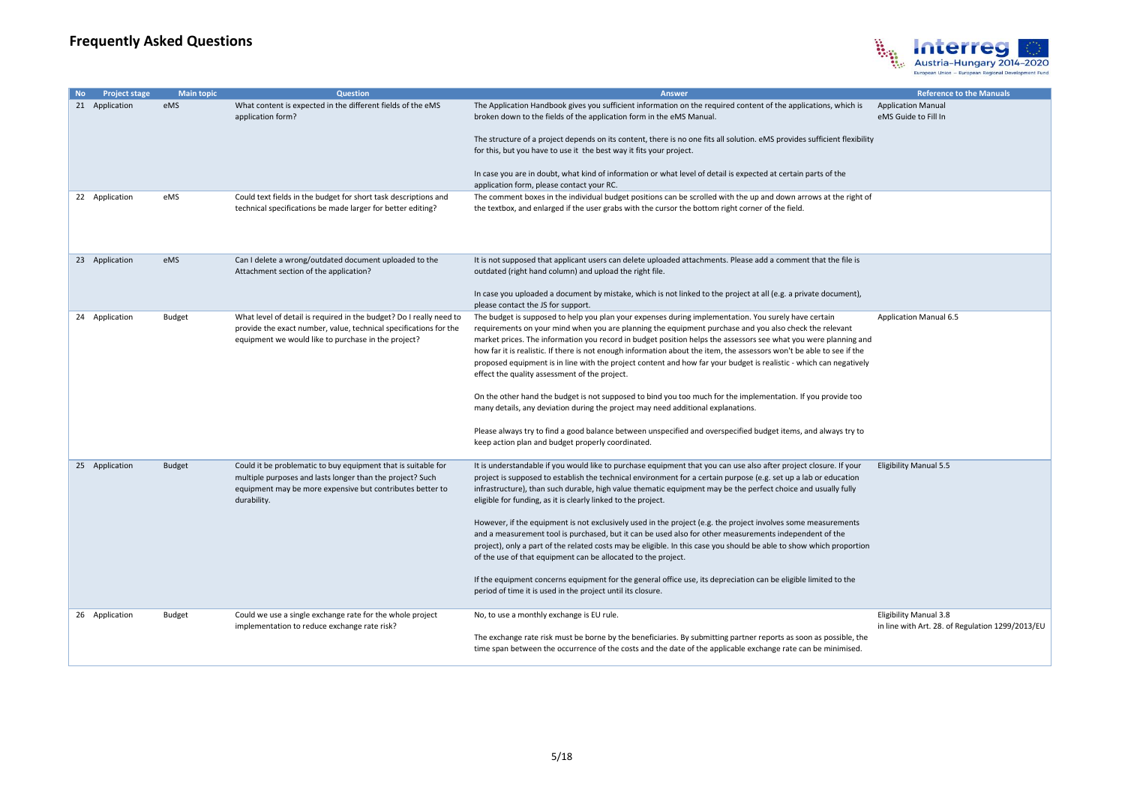

| <b>Project stage</b> | <b>Main topic</b> | <b>Question</b>                                                                                                                                                                                        | <b>Answer</b>                                                                                                                                                                                                                                                                                                                                                                                                                                                                                                                                                                                                                                                                                                                                                                                                                                                                                                                                                                                                                                      | <b>Reference to the Manuals</b>                                                   |
|----------------------|-------------------|--------------------------------------------------------------------------------------------------------------------------------------------------------------------------------------------------------|----------------------------------------------------------------------------------------------------------------------------------------------------------------------------------------------------------------------------------------------------------------------------------------------------------------------------------------------------------------------------------------------------------------------------------------------------------------------------------------------------------------------------------------------------------------------------------------------------------------------------------------------------------------------------------------------------------------------------------------------------------------------------------------------------------------------------------------------------------------------------------------------------------------------------------------------------------------------------------------------------------------------------------------------------|-----------------------------------------------------------------------------------|
| 21 Application       | eMS               | What content is expected in the different fields of the eMS<br>application form?                                                                                                                       | The Application Handbook gives you sufficient information on the required content of the applications, which is<br>broken down to the fields of the application form in the eMS Manual.<br>The structure of a project depends on its content, there is no one fits all solution. eMS provides sufficient flexibility<br>for this, but you have to use it the best way it fits your project.<br>In case you are in doubt, what kind of information or what level of detail is expected at certain parts of the                                                                                                                                                                                                                                                                                                                                                                                                                                                                                                                                      | <b>Application Manual</b><br>eMS Guide to Fill In                                 |
|                      |                   |                                                                                                                                                                                                        | application form, please contact your RC.                                                                                                                                                                                                                                                                                                                                                                                                                                                                                                                                                                                                                                                                                                                                                                                                                                                                                                                                                                                                          |                                                                                   |
| 22 Application       | eMS               | Could text fields in the budget for short task descriptions and<br>technical specifications be made larger for better editing?                                                                         | The comment boxes in the individual budget positions can be scrolled with the up and down arrows at the right of<br>the textbox, and enlarged if the user grabs with the cursor the bottom right corner of the field.                                                                                                                                                                                                                                                                                                                                                                                                                                                                                                                                                                                                                                                                                                                                                                                                                              |                                                                                   |
| 23 Application       | eMS               | Can I delete a wrong/outdated document uploaded to the<br>Attachment section of the application?                                                                                                       | It is not supposed that applicant users can delete uploaded attachments. Please add a comment that the file is<br>outdated (right hand column) and upload the right file.<br>In case you uploaded a document by mistake, which is not linked to the project at all (e.g. a private document),                                                                                                                                                                                                                                                                                                                                                                                                                                                                                                                                                                                                                                                                                                                                                      |                                                                                   |
| 24 Application       | <b>Budget</b>     | What level of detail is required in the budget? Do I really need to<br>provide the exact number, value, technical specifications for the<br>equipment we would like to purchase in the project?        | please contact the JS for support.<br>The budget is supposed to help you plan your expenses during implementation. You surely have certain<br>requirements on your mind when you are planning the equipment purchase and you also check the relevant<br>market prices. The information you record in budget position helps the assessors see what you were planning and<br>how far it is realistic. If there is not enough information about the item, the assessors won't be able to see if the<br>proposed equipment is in line with the project content and how far your budget is realistic - which can negatively<br>effect the quality assessment of the project.<br>On the other hand the budget is not supposed to bind you too much for the implementation. If you provide too<br>many details, any deviation during the project may need additional explanations.<br>Please always try to find a good balance between unspecified and overspecified budget items, and always try to<br>keep action plan and budget properly coordinated. | <b>Application Manual 6.5</b>                                                     |
| 25 Application       | <b>Budget</b>     | Could it be problematic to buy equipment that is suitable for<br>multiple purposes and lasts longer than the project? Such<br>equipment may be more expensive but contributes better to<br>durability. | It is understandable if you would like to purchase equipment that you can use also after project closure. If your<br>project is supposed to establish the technical environment for a certain purpose (e.g. set up a lab or education<br>infrastructure), than such durable, high value thematic equipment may be the perfect choice and usually fully<br>eligible for funding, as it is clearly linked to the project.<br>However, if the equipment is not exclusively used in the project (e.g. the project involves some measurements<br>and a measurement tool is purchased, but it can be used also for other measurements independent of the<br>project), only a part of the related costs may be eligible. In this case you should be able to show which proportion<br>of the use of that equipment can be allocated to the project.<br>If the equipment concerns equipment for the general office use, its depreciation can be eligible limited to the<br>period of time it is used in the project until its closure.                      | <b>Eligibility Manual 5.5</b>                                                     |
| 26 Application       | Budget            | Could we use a single exchange rate for the whole project<br>implementation to reduce exchange rate risk?                                                                                              | No, to use a monthly exchange is EU rule.<br>The exchange rate risk must be borne by the beneficiaries. By submitting partner reports as soon as possible, the<br>time span between the occurrence of the costs and the date of the applicable exchange rate can be minimised.                                                                                                                                                                                                                                                                                                                                                                                                                                                                                                                                                                                                                                                                                                                                                                     | <b>Eligibility Manual 3.8</b><br>in line with Art. 28. of Regulation 1299/2013/EU |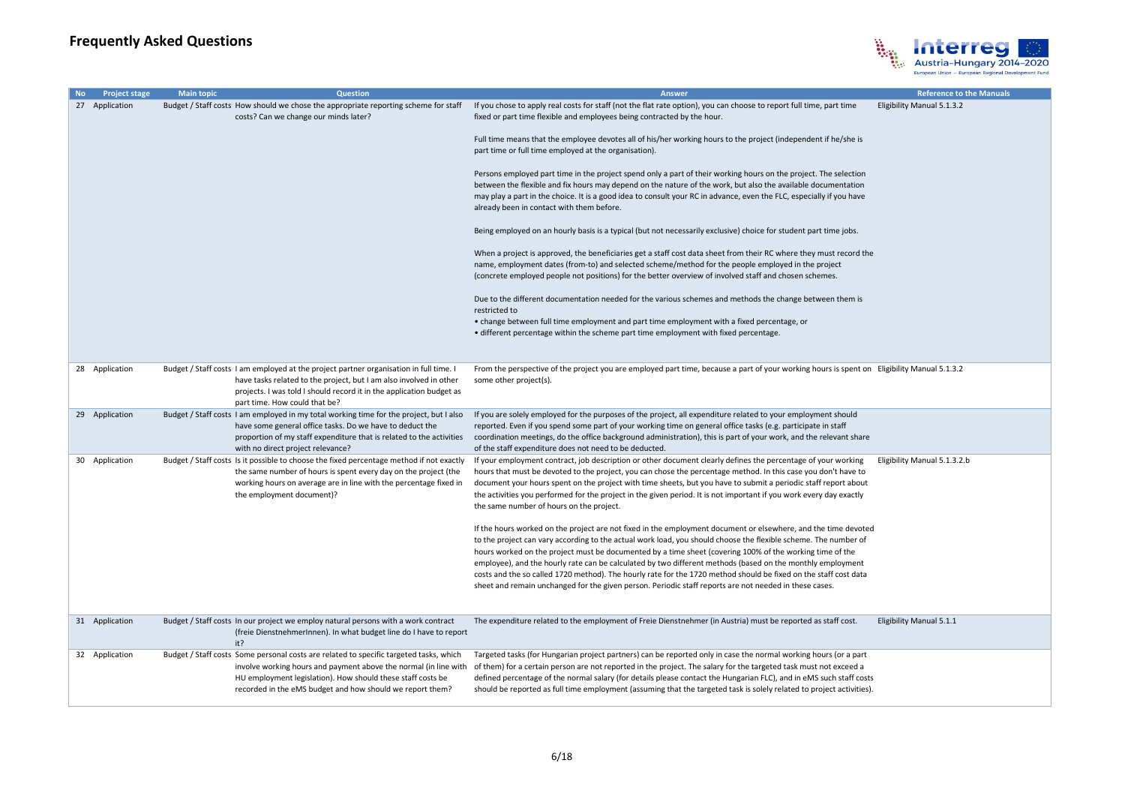

| <b>Project stage</b> | <b>Main topic</b> | <b>Question</b>                                                                                                                                                                                                                                                                        | <b>Answer</b>                                                                                                                                                                                                                                                                                                                                                                                                                                                                                                                                                                                                                                                                             | <b>Reference to the Manuals</b> |
|----------------------|-------------------|----------------------------------------------------------------------------------------------------------------------------------------------------------------------------------------------------------------------------------------------------------------------------------------|-------------------------------------------------------------------------------------------------------------------------------------------------------------------------------------------------------------------------------------------------------------------------------------------------------------------------------------------------------------------------------------------------------------------------------------------------------------------------------------------------------------------------------------------------------------------------------------------------------------------------------------------------------------------------------------------|---------------------------------|
| 27 Application       |                   | Budget / Staff costs How should we chose the appropriate reporting scheme for staff<br>costs? Can we change our minds later?                                                                                                                                                           | If you chose to apply real costs for staff (not the flat rate option), you can choose to report full time, part time<br>fixed or part time flexible and employees being contracted by the hour.                                                                                                                                                                                                                                                                                                                                                                                                                                                                                           | Eligibility Manual 5.1.3.2      |
|                      |                   |                                                                                                                                                                                                                                                                                        | Full time means that the employee devotes all of his/her working hours to the project (independent if he/she is<br>part time or full time employed at the organisation).                                                                                                                                                                                                                                                                                                                                                                                                                                                                                                                  |                                 |
|                      |                   |                                                                                                                                                                                                                                                                                        | Persons employed part time in the project spend only a part of their working hours on the project. The selection<br>between the flexible and fix hours may depend on the nature of the work, but also the available documentation<br>may play a part in the choice. It is a good idea to consult your RC in advance, even the FLC, especially if you have<br>already been in contact with them before.                                                                                                                                                                                                                                                                                    |                                 |
|                      |                   |                                                                                                                                                                                                                                                                                        | Being employed on an hourly basis is a typical (but not necessarily exclusive) choice for student part time jobs.                                                                                                                                                                                                                                                                                                                                                                                                                                                                                                                                                                         |                                 |
|                      |                   |                                                                                                                                                                                                                                                                                        | When a project is approved, the beneficiaries get a staff cost data sheet from their RC where they must record the<br>name, employment dates (from-to) and selected scheme/method for the people employed in the project<br>(concrete employed people not positions) for the better overview of involved staff and chosen schemes.                                                                                                                                                                                                                                                                                                                                                        |                                 |
|                      |                   |                                                                                                                                                                                                                                                                                        | Due to the different documentation needed for the various schemes and methods the change between them is<br>restricted to                                                                                                                                                                                                                                                                                                                                                                                                                                                                                                                                                                 |                                 |
|                      |                   |                                                                                                                                                                                                                                                                                        | • change between full time employment and part time employment with a fixed percentage, or<br>• different percentage within the scheme part time employment with fixed percentage.                                                                                                                                                                                                                                                                                                                                                                                                                                                                                                        |                                 |
|                      |                   |                                                                                                                                                                                                                                                                                        |                                                                                                                                                                                                                                                                                                                                                                                                                                                                                                                                                                                                                                                                                           |                                 |
| 28 Application       |                   | Budget / Staff costs I am employed at the project partner organisation in full time. I<br>have tasks related to the project, but I am also involved in other<br>projects. I was told I should record it in the application budget as<br>part time. How could that be?                  | From the perspective of the project you are employed part time, because a part of your working hours is spent on Eligibility Manual 5.1.3.2<br>some other project(s).                                                                                                                                                                                                                                                                                                                                                                                                                                                                                                                     |                                 |
| 29 Application       |                   | Budget / Staff costs I am employed in my total working time for the project, but I also<br>have some general office tasks. Do we have to deduct the<br>proportion of my staff expenditure that is related to the activities<br>with no direct project relevance?                       | If you are solely employed for the purposes of the project, all expenditure related to your employment should<br>reported. Even if you spend some part of your working time on general office tasks (e.g. participate in staff<br>coordination meetings, do the office background administration), this is part of your work, and the relevant share<br>of the staff expenditure does not need to be deducted.                                                                                                                                                                                                                                                                            |                                 |
| 30 Application       |                   | Budget / Staff costs Is it possible to choose the fixed percentage method if not exactly<br>the same number of hours is spent every day on the project (the<br>working hours on average are in line with the percentage fixed in<br>the employment document)?                          | If your employment contract, job description or other document clearly defines the percentage of your working<br>hours that must be devoted to the project, you can chose the percentage method. In this case you don't have to<br>document your hours spent on the project with time sheets, but you have to submit a periodic staff report about<br>the activities you performed for the project in the given period. It is not important if you work every day exactly<br>the same number of hours on the project.                                                                                                                                                                     | Eligibility Manual 5.1.3.2.b    |
|                      |                   |                                                                                                                                                                                                                                                                                        | If the hours worked on the project are not fixed in the employment document or elsewhere, and the time devoted<br>to the project can vary according to the actual work load, you should choose the flexible scheme. The number of<br>hours worked on the project must be documented by a time sheet (covering 100% of the working time of the<br>employee), and the hourly rate can be calculated by two different methods (based on the monthly employment<br>costs and the so called 1720 method). The hourly rate for the 1720 method should be fixed on the staff cost data<br>sheet and remain unchanged for the given person. Periodic staff reports are not needed in these cases. |                                 |
| 31 Application       |                   | Budget / Staff costs In our project we employ natural persons with a work contract<br>(freie DienstnehmerInnen). In what budget line do I have to report<br>it?                                                                                                                        | The expenditure related to the employment of Freie Dienstnehmer (in Austria) must be reported as staff cost.                                                                                                                                                                                                                                                                                                                                                                                                                                                                                                                                                                              | Eligibility Manual 5.1.1        |
| 32 Application       |                   | Budget / Staff costs Some personal costs are related to specific targeted tasks, which<br>involve working hours and payment above the normal (in line with<br>HU employment legislation). How should these staff costs be<br>recorded in the eMS budget and how should we report them? | Targeted tasks (for Hungarian project partners) can be reported only in case the normal working hours (or a part<br>of them) for a certain person are not reported in the project. The salary for the targeted task must not exceed a<br>defined percentage of the normal salary (for details please contact the Hungarian FLC), and in eMS such staff costs<br>should be reported as full time employment (assuming that the targeted task is solely related to project activities).                                                                                                                                                                                                     |                                 |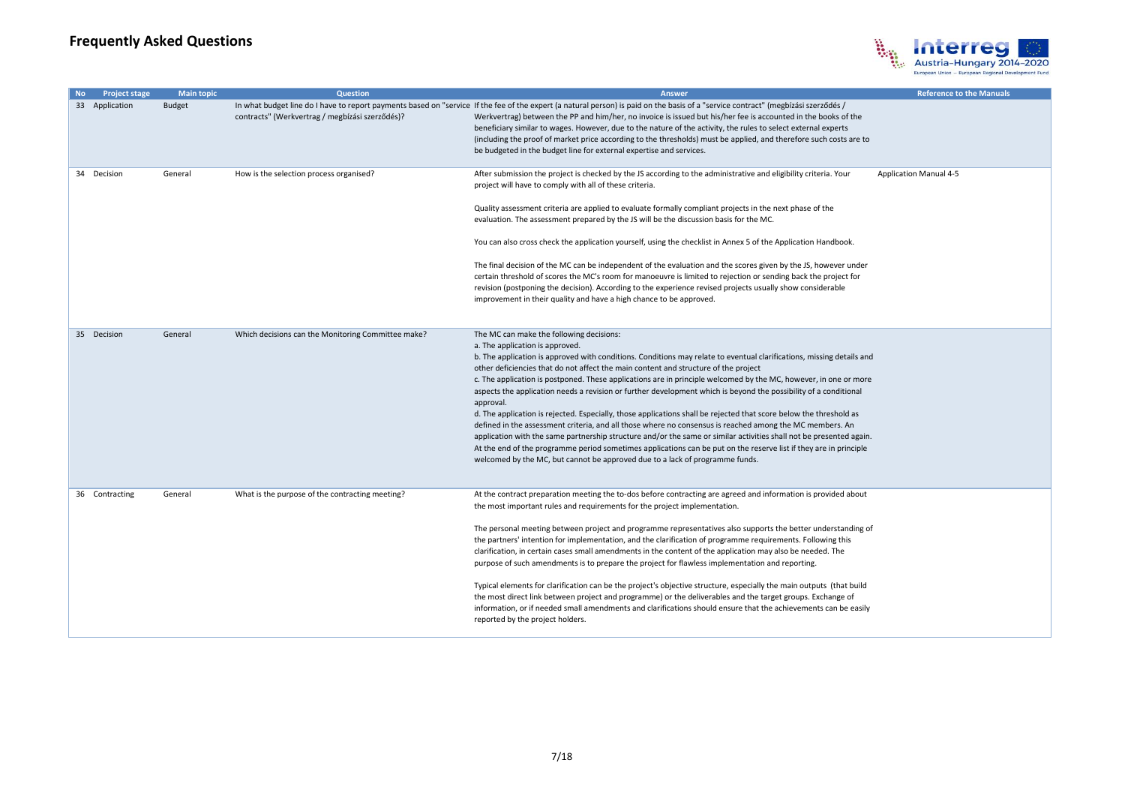

| <b>No</b> | <b>Project stage</b> | <b>Main topic</b> | <b>Question</b>                                    | <b>Answer</b>                                                                                                                                                                                                                                                                                                                                                                                                                                                                                                                                                                                                                                                                                                                                                                                                                                                                                                                                                                                                                                                                                                  | <b>Reference to the Manuals</b> |
|-----------|----------------------|-------------------|----------------------------------------------------|----------------------------------------------------------------------------------------------------------------------------------------------------------------------------------------------------------------------------------------------------------------------------------------------------------------------------------------------------------------------------------------------------------------------------------------------------------------------------------------------------------------------------------------------------------------------------------------------------------------------------------------------------------------------------------------------------------------------------------------------------------------------------------------------------------------------------------------------------------------------------------------------------------------------------------------------------------------------------------------------------------------------------------------------------------------------------------------------------------------|---------------------------------|
|           | 33 Application       | Budget            | contracts" (Werkvertrag / megbízási szerződés)?    | In what budget line do I have to report payments based on "service If the fee of the expert (a natural person) is paid on the basis of a "service contract" (megbízási szerződés /<br>Werkvertrag) between the PP and him/her, no invoice is issued but his/her fee is accounted in the books of the<br>beneficiary similar to wages. However, due to the nature of the activity, the rules to select external experts<br>(including the proof of market price according to the thresholds) must be applied, and therefore such costs are to<br>be budgeted in the budget line for external expertise and services.                                                                                                                                                                                                                                                                                                                                                                                                                                                                                            |                                 |
|           | 34 Decision          | General           | How is the selection process organised?            | After submission the project is checked by the JS according to the administrative and eligibility criteria. Your<br>project will have to comply with all of these criteria.<br>Quality assessment criteria are applied to evaluate formally compliant projects in the next phase of the<br>evaluation. The assessment prepared by the JS will be the discussion basis for the MC.<br>You can also cross check the application yourself, using the checklist in Annex 5 of the Application Handbook.<br>The final decision of the MC can be independent of the evaluation and the scores given by the JS, however under<br>certain threshold of scores the MC's room for manoeuvre is limited to rejection or sending back the project for<br>revision (postponing the decision). According to the experience revised projects usually show considerable<br>improvement in their quality and have a high chance to be approved.                                                                                                                                                                                 | <b>Application Manual 4-5</b>   |
|           | 35 Decision          | General           | Which decisions can the Monitoring Committee make? | The MC can make the following decisions:<br>a. The application is approved.<br>b. The application is approved with conditions. Conditions may relate to eventual clarifications, missing details and<br>other deficiencies that do not affect the main content and structure of the project<br>c. The application is postponed. These applications are in principle welcomed by the MC, however, in one or more<br>aspects the application needs a revision or further development which is beyond the possibility of a conditional<br>approval.<br>d. The application is rejected. Especially, those applications shall be rejected that score below the threshold as<br>defined in the assessment criteria, and all those where no consensus is reached among the MC members. An<br>application with the same partnership structure and/or the same or similar activities shall not be presented again.<br>At the end of the programme period sometimes applications can be put on the reserve list if they are in principle<br>welcomed by the MC, but cannot be approved due to a lack of programme funds. |                                 |
|           | 36 Contracting       | General           | What is the purpose of the contracting meeting?    | At the contract preparation meeting the to-dos before contracting are agreed and information is provided about<br>the most important rules and requirements for the project implementation.<br>The personal meeting between project and programme representatives also supports the better understanding of<br>the partners' intention for implementation, and the clarification of programme requirements. Following this<br>clarification, in certain cases small amendments in the content of the application may also be needed. The<br>purpose of such amendments is to prepare the project for flawless implementation and reporting.<br>Typical elements for clarification can be the project's objective structure, especially the main outputs (that build<br>the most direct link between project and programme) or the deliverables and the target groups. Exchange of<br>information, or if needed small amendments and clarifications should ensure that the achievements can be easily<br>reported by the project holders.                                                                       |                                 |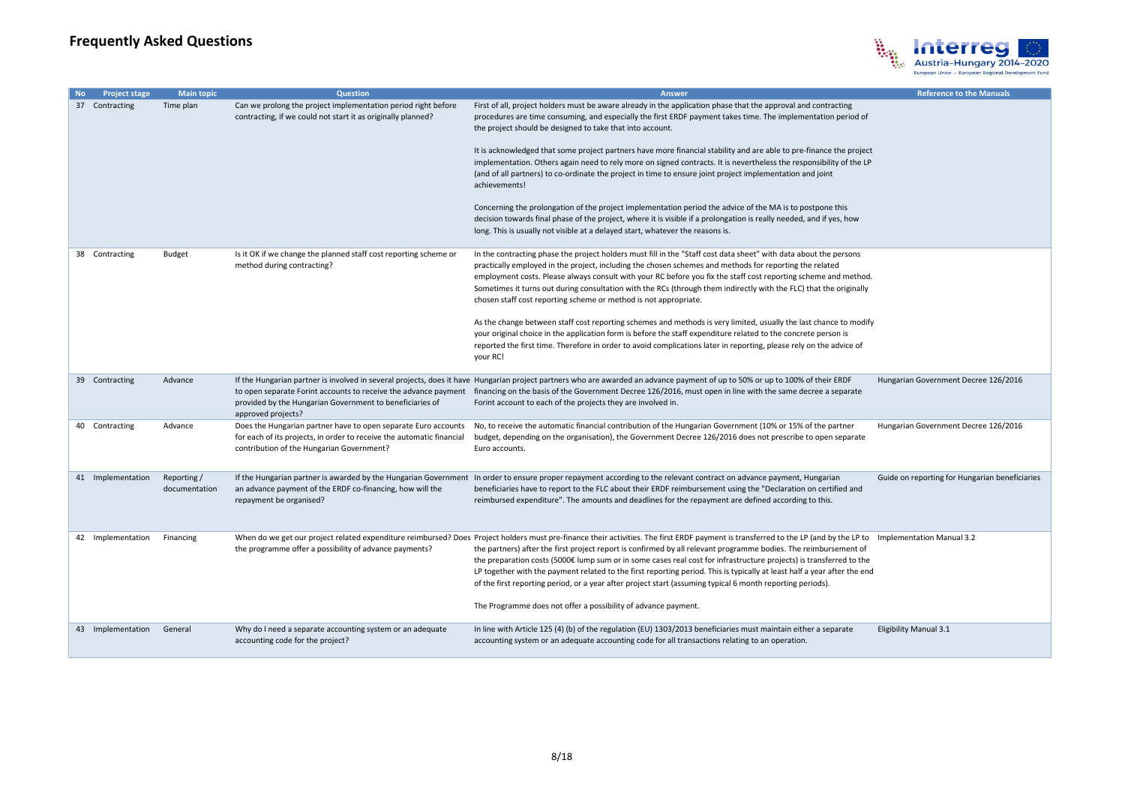

| <b>Project stage</b> | <b>Main topic</b>            | <b>Question</b>                                                                                                                                                                      | <b>Answer</b>                                                                                                                                                                                                                                                                                                                                                                                                                                                                                                                                                                                                                                                                                                                                                                         | <b>Reference to the Manuals</b>                |
|----------------------|------------------------------|--------------------------------------------------------------------------------------------------------------------------------------------------------------------------------------|---------------------------------------------------------------------------------------------------------------------------------------------------------------------------------------------------------------------------------------------------------------------------------------------------------------------------------------------------------------------------------------------------------------------------------------------------------------------------------------------------------------------------------------------------------------------------------------------------------------------------------------------------------------------------------------------------------------------------------------------------------------------------------------|------------------------------------------------|
| 37 Contracting       | Time plan                    | Can we prolong the project implementation period right before<br>contracting, if we could not start it as originally planned?                                                        | First of all, project holders must be aware already in the application phase that the approval and contracting<br>procedures are time consuming, and especially the first ERDF payment takes time. The implementation period of<br>the project should be designed to take that into account.<br>It is acknowledged that some project partners have more financial stability and are able to pre-finance the project<br>implementation. Others again need to rely more on signed contracts. It is nevertheless the responsibility of the LP<br>(and of all partners) to co-ordinate the project in time to ensure joint project implementation and joint<br>achievements!<br>Concerning the prolongation of the project implementation period the advice of the MA is to postpone this |                                                |
|                      |                              |                                                                                                                                                                                      | decision towards final phase of the project, where it is visible if a prolongation is really needed, and if yes, how<br>long. This is usually not visible at a delayed start, whatever the reasons is.                                                                                                                                                                                                                                                                                                                                                                                                                                                                                                                                                                                |                                                |
| 38 Contracting       | <b>Budget</b>                | Is it OK if we change the planned staff cost reporting scheme or<br>method during contracting?                                                                                       | In the contracting phase the project holders must fill in the "Staff cost data sheet" with data about the persons<br>practically employed in the project, including the chosen schemes and methods for reporting the related<br>employment costs. Please always consult with your RC before you fix the staff cost reporting scheme and method.<br>Sometimes it turns out during consultation with the RCs (through them indirectly with the FLC) that the originally<br>chosen staff cost reporting scheme or method is not appropriate.                                                                                                                                                                                                                                             |                                                |
|                      |                              |                                                                                                                                                                                      | As the change between staff cost reporting schemes and methods is very limited, usually the last chance to modify<br>your original choice in the application form is before the staff expenditure related to the concrete person is<br>reported the first time. Therefore in order to avoid complications later in reporting, please rely on the advice of<br>your RC!                                                                                                                                                                                                                                                                                                                                                                                                                |                                                |
| 39 Contracting       | Advance                      | to open separate Forint accounts to receive the advance payment<br>provided by the Hungarian Government to beneficiaries of<br>approved projects?                                    | If the Hungarian partner is involved in several projects, does it have Hungarian project partners who are awarded an advance payment of up to 50% or up to 100% of their ERDF<br>financing on the basis of the Government Decree 126/2016, must open in line with the same decree a separate<br>Forint account to each of the projects they are involved in.                                                                                                                                                                                                                                                                                                                                                                                                                          | Hungarian Government Decree 126/2016           |
| 40 Contracting       | Advance                      | Does the Hungarian partner have to open separate Euro accounts<br>for each of its projects, in order to receive the automatic financial<br>contribution of the Hungarian Government? | No, to receive the automatic financial contribution of the Hungarian Government (10% or 15% of the partner<br>budget, depending on the organisation), the Government Decree 126/2016 does not prescribe to open separate<br>Euro accounts.                                                                                                                                                                                                                                                                                                                                                                                                                                                                                                                                            | Hungarian Government Decree 126/2016           |
| 41 Implementation    | Reporting /<br>documentation | an advance payment of the ERDF co-financing, how will the<br>repayment be organised?                                                                                                 | If the Hungarian partner is awarded by the Hungarian Government In order to ensure proper repayment according to the relevant contract on advance payment, Hungarian<br>beneficiaries have to report to the FLC about their ERDF reimbursement using the "Declaration on certified and<br>reimbursed expenditure". The amounts and deadlines for the repayment are defined according to this.                                                                                                                                                                                                                                                                                                                                                                                         | Guide on reporting for Hungarian beneficiaries |
| 42 Implementation    | Financing                    | the programme offer a possibility of advance payments?                                                                                                                               | When do we get our project related expenditure reimbursed? Does Project holders must pre-finance their activities. The first ERDF payment is transferred to the LP (and by the LP to Implementation Manual 3.2<br>the partners) after the first project report is confirmed by all relevant programme bodies. The reimbursement of<br>the preparation costs (5000€ lump sum or in some cases real cost for infrastructure projects) is transferred to the<br>LP together with the payment related to the first reporting period. This is typically at least half a year after the end<br>of the first reporting period, or a year after project start (assuming typical 6 month reporting periods).<br>The Programme does not offer a possibility of advance payment.                 |                                                |
| 43 Implementation    | General                      | Why do I need a separate accounting system or an adequate<br>accounting code for the project?                                                                                        | In line with Article 125 (4) (b) of the regulation (EU) 1303/2013 beneficiaries must maintain either a separate<br>accounting system or an adequate accounting code for all transactions relating to an operation.                                                                                                                                                                                                                                                                                                                                                                                                                                                                                                                                                                    | <b>Eligibility Manual 3.1</b>                  |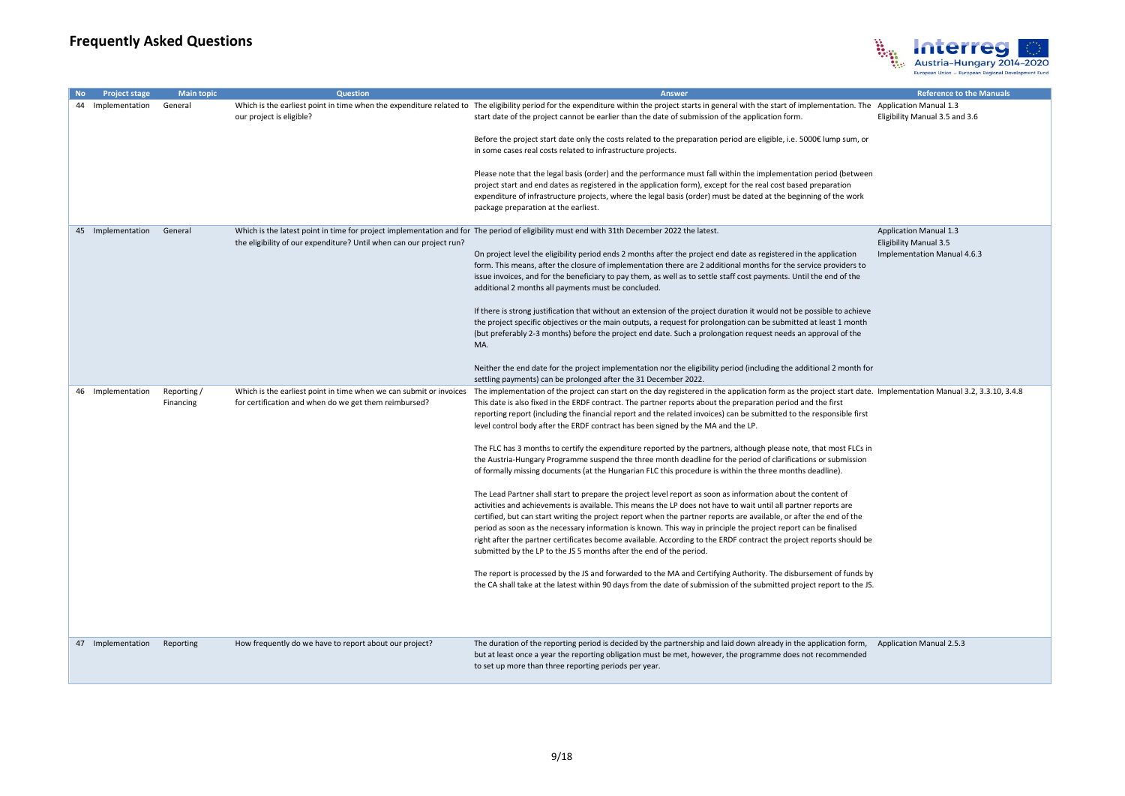

| <b>Project stage</b> | <b>Main topic</b>        | <b>Question</b>                                                                                                             | <b>Answer</b>                                                                                                                                                                                                                                                                                                                                                                                                                                                                             | <b>Reference to the Manuals</b> |
|----------------------|--------------------------|-----------------------------------------------------------------------------------------------------------------------------|-------------------------------------------------------------------------------------------------------------------------------------------------------------------------------------------------------------------------------------------------------------------------------------------------------------------------------------------------------------------------------------------------------------------------------------------------------------------------------------------|---------------------------------|
| 44 Implementation    | General                  | our project is eligible?                                                                                                    | Which is the earliest point in time when the expenditure related to The eligibility period for the expenditure within the project starts in general with the start of implementation. The Application Manual 1.3<br>start date of the project cannot be earlier than the date of submission of the application form.                                                                                                                                                                      | Eligibility Manual 3.5 and 3.6  |
|                      |                          |                                                                                                                             | Before the project start date only the costs related to the preparation period are eligible, i.e. 5000€ lump sum, or<br>in some cases real costs related to infrastructure projects.                                                                                                                                                                                                                                                                                                      |                                 |
|                      |                          |                                                                                                                             | Please note that the legal basis (order) and the performance must fall within the implementation period (between<br>project start and end dates as registered in the application form), except for the real cost based preparation<br>expenditure of infrastructure projects, where the legal basis (order) must be dated at the beginning of the work<br>package preparation at the earliest.                                                                                            |                                 |
| 45 Implementation    | General                  |                                                                                                                             | Which is the latest point in time for project implementation and for The period of eligibility must end with 31th December 2022 the latest.                                                                                                                                                                                                                                                                                                                                               | <b>Application Manual 1.3</b>   |
|                      |                          | the eligibility of our expenditure? Until when can our project run?                                                         |                                                                                                                                                                                                                                                                                                                                                                                                                                                                                           | <b>Eligibility Manual 3.5</b>   |
|                      |                          |                                                                                                                             | On project level the eligibility period ends 2 months after the project end date as registered in the application<br>form. This means, after the closure of implementation there are 2 additional months for the service providers to<br>issue invoices, and for the beneficiary to pay them, as well as to settle staff cost payments. Until the end of the<br>additional 2 months all payments must be concluded.                                                                       | Implementation Manual 4.6.3     |
|                      |                          |                                                                                                                             | If there is strong justification that without an extension of the project duration it would not be possible to achieve<br>the project specific objectives or the main outputs, a request for prolongation can be submitted at least 1 month<br>(but preferably 2-3 months) before the project end date. Such a prolongation request needs an approval of the<br>MA.                                                                                                                       |                                 |
|                      |                          |                                                                                                                             | Neither the end date for the project implementation nor the eligibility period (including the additional 2 month for<br>settling payments) can be prolonged after the 31 December 2022.                                                                                                                                                                                                                                                                                                   |                                 |
| 46 Implementation    | Reporting /<br>Financing | Which is the earliest point in time when we can submit or invoices<br>for certification and when do we get them reimbursed? | The implementation of the project can start on the day registered in the application form as the project start date. Implementation Manual 3.2, 3.3.10, 3.4.8<br>This date is also fixed in the ERDF contract. The partner reports about the preparation period and the first<br>reporting report (including the financial report and the related invoices) can be submitted to the responsible first<br>level control body after the ERDF contract has been signed by the MA and the LP. |                                 |
|                      |                          |                                                                                                                             | The FLC has 3 months to certify the expenditure reported by the partners, although please note, that most FLCs in<br>the Austria-Hungary Programme suspend the three month deadline for the period of clarifications or submission<br>of formally missing documents (at the Hungarian FLC this procedure is within the three months deadline).                                                                                                                                            |                                 |
|                      |                          |                                                                                                                             | The Lead Partner shall start to prepare the project level report as soon as information about the content of                                                                                                                                                                                                                                                                                                                                                                              |                                 |
|                      |                          |                                                                                                                             | activities and achievements is available. This means the LP does not have to wait until all partner reports are                                                                                                                                                                                                                                                                                                                                                                           |                                 |
|                      |                          |                                                                                                                             | certified, but can start writing the project report when the partner reports are available, or after the end of the<br>period as soon as the necessary information is known. This way in principle the project report can be finalised                                                                                                                                                                                                                                                    |                                 |
|                      |                          |                                                                                                                             | right after the partner certificates become available. According to the ERDF contract the project reports should be<br>submitted by the LP to the JS 5 months after the end of the period.                                                                                                                                                                                                                                                                                                |                                 |
|                      |                          |                                                                                                                             | The report is processed by the JS and forwarded to the MA and Certifying Authority. The disbursement of funds by<br>the CA shall take at the latest within 90 days from the date of submission of the submitted project report to the JS.                                                                                                                                                                                                                                                 |                                 |
| 47 Implementation    | Reporting                | How frequently do we have to report about our project?                                                                      | The duration of the reporting period is decided by the partnership and laid down already in the application form,<br>but at least once a year the reporting obligation must be met, however, the programme does not recommended<br>to set up more than three reporting periods per year.                                                                                                                                                                                                  | <b>Application Manual 2.5.3</b> |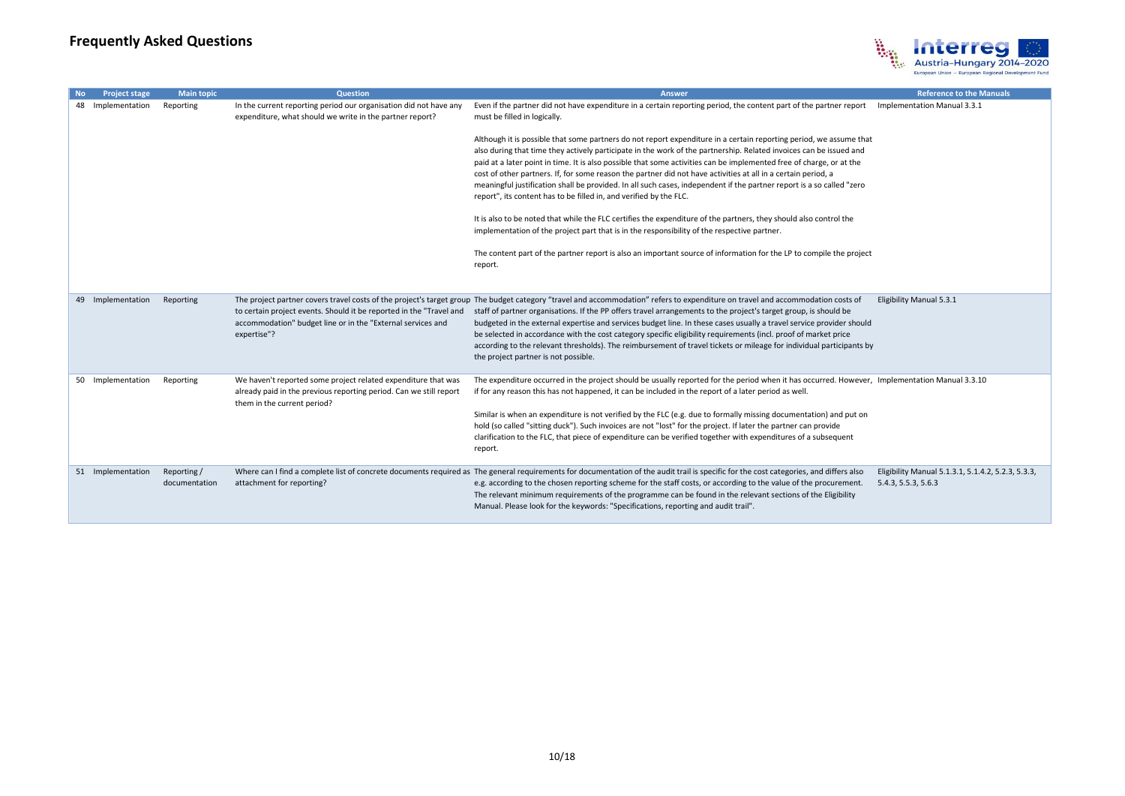

| <b>Project stage</b> | <b>Main topic</b>            | <b>Question</b>                                                                                                                                                    | <b>Answer</b>                                                                                                                                                                                                                                                                                                                                                                                                                                                                                                                                                                                                                                                                                                  | <b>Reference to the Manuals</b>                                           |
|----------------------|------------------------------|--------------------------------------------------------------------------------------------------------------------------------------------------------------------|----------------------------------------------------------------------------------------------------------------------------------------------------------------------------------------------------------------------------------------------------------------------------------------------------------------------------------------------------------------------------------------------------------------------------------------------------------------------------------------------------------------------------------------------------------------------------------------------------------------------------------------------------------------------------------------------------------------|---------------------------------------------------------------------------|
| 48 Implementation    | Reporting                    | In the current reporting period our organisation did not have any<br>expenditure, what should we write in the partner report?                                      | Even if the partner did not have expenditure in a certain reporting period, the content part of the partner report<br>must be filled in logically.                                                                                                                                                                                                                                                                                                                                                                                                                                                                                                                                                             | Implementation Manual 3.3.1                                               |
|                      |                              |                                                                                                                                                                    | Although it is possible that some partners do not report expenditure in a certain reporting period, we assume that<br>also during that time they actively participate in the work of the partnership. Related invoices can be issued and<br>paid at a later point in time. It is also possible that some activities can be implemented free of charge, or at the<br>cost of other partners. If, for some reason the partner did not have activities at all in a certain period, a<br>meaningful justification shall be provided. In all such cases, independent if the partner report is a so called "zero<br>report", its content has to be filled in, and verified by the FLC.                               |                                                                           |
|                      |                              |                                                                                                                                                                    | It is also to be noted that while the FLC certifies the expenditure of the partners, they should also control the<br>implementation of the project part that is in the responsibility of the respective partner.                                                                                                                                                                                                                                                                                                                                                                                                                                                                                               |                                                                           |
|                      |                              |                                                                                                                                                                    | The content part of the partner report is also an important source of information for the LP to compile the project<br>report.                                                                                                                                                                                                                                                                                                                                                                                                                                                                                                                                                                                 |                                                                           |
| 49 Implementation    | Reporting                    | to certain project events. Should it be reported in the "Travel and<br>accommodation" budget line or in the "External services and<br>expertise"?                  | The project partner covers travel costs of the project's target group The budget category "travel and accommodation" refers to expenditure on travel and accommodation costs of<br>staff of partner organisations. If the PP offers travel arrangements to the project's target group, is should be<br>budgeted in the external expertise and services budget line. In these cases usually a travel service provider should<br>be selected in accordance with the cost category specific eligibility requirements (incl. proof of market price<br>according to the relevant thresholds). The reimbursement of travel tickets or mileage for individual participants by<br>the project partner is not possible. | Eligibility Manual 5.3.1                                                  |
| 50 Implementation    | Reporting                    | We haven't reported some project related expenditure that was<br>already paid in the previous reporting period. Can we still report<br>them in the current period? | The expenditure occurred in the project should be usually reported for the period when it has occurred. However, Implementation Manual 3.3.10<br>if for any reason this has not happened, it can be included in the report of a later period as well.<br>Similar is when an expenditure is not verified by the FLC (e.g. due to formally missing documentation) and put on<br>hold (so called "sitting duck"). Such invoices are not "lost" for the project. If later the partner can provide<br>clarification to the FLC, that piece of expenditure can be verified together with expenditures of a subsequent<br>report.                                                                                     |                                                                           |
| 51 Implementation    | Reporting /<br>documentation | attachment for reporting?                                                                                                                                          | Where can I find a complete list of concrete documents required as The general requirements for documentation of the audit trail is specific for the cost categories, and differs also<br>e.g. according to the chosen reporting scheme for the staff costs, or according to the value of the procurement.<br>The relevant minimum requirements of the programme can be found in the relevant sections of the Eligibility<br>Manual. Please look for the keywords: "Specifications, reporting and audit trail".                                                                                                                                                                                                | Eligibility Manual 5.1.3.1, 5.1.4.2, 5.2.3, 5.3.3,<br>5.4.3, 5.5.3, 5.6.3 |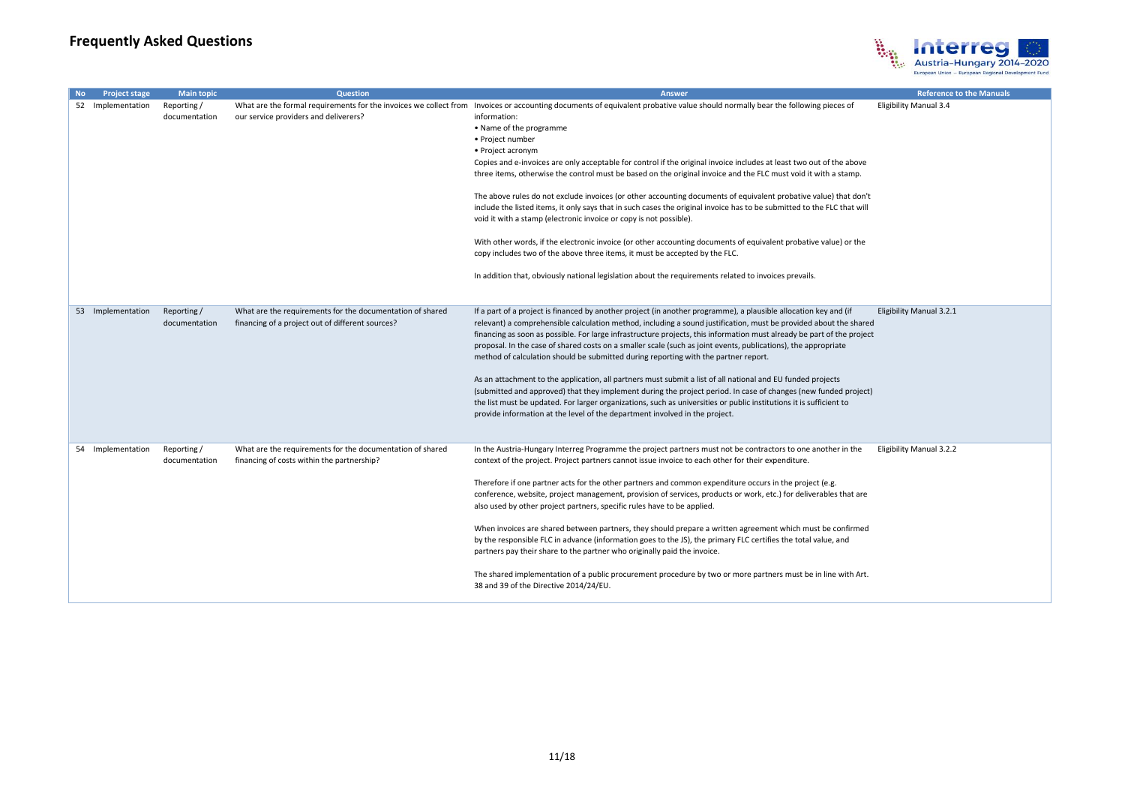

| <b>No</b> | <b>Project stage</b> | <b>Main topic</b>            | <b>Question</b>                                                                                               | <b>Answer</b>                                                                                                                                                                                                                                                                                                                                                                                                                                                                                                                                                                                                                                                                                                                                                                                                                                                                                                                                                                                                                                                                                                                                 | <b>Reference to the Manuals</b> |
|-----------|----------------------|------------------------------|---------------------------------------------------------------------------------------------------------------|-----------------------------------------------------------------------------------------------------------------------------------------------------------------------------------------------------------------------------------------------------------------------------------------------------------------------------------------------------------------------------------------------------------------------------------------------------------------------------------------------------------------------------------------------------------------------------------------------------------------------------------------------------------------------------------------------------------------------------------------------------------------------------------------------------------------------------------------------------------------------------------------------------------------------------------------------------------------------------------------------------------------------------------------------------------------------------------------------------------------------------------------------|---------------------------------|
|           | 52 Implementation    | Reporting/<br>documentation  | our service providers and deliverers?                                                                         | What are the formal requirements for the invoices we collect from Invoices or accounting documents of equivalent probative value should normally bear the following pieces of<br>information:<br>• Name of the programme<br>• Project number<br>• Project acronym<br>Copies and e-invoices are only acceptable for control if the original invoice includes at least two out of the above<br>three items, otherwise the control must be based on the original invoice and the FLC must void it with a stamp.<br>The above rules do not exclude invoices (or other accounting documents of equivalent probative value) that don't<br>include the listed items, it only says that in such cases the original invoice has to be submitted to the FLC that will<br>void it with a stamp (electronic invoice or copy is not possible).<br>With other words, if the electronic invoice (or other accounting documents of equivalent probative value) or the<br>copy includes two of the above three items, it must be accepted by the FLC.<br>In addition that, obviously national legislation about the requirements related to invoices prevails. | Eligibility Manual 3.4          |
|           | 53 Implementation    | Reporting /<br>documentation | What are the requirements for the documentation of shared<br>financing of a project out of different sources? | If a part of a project is financed by another project (in another programme), a plausible allocation key and (if<br>relevant) a comprehensible calculation method, including a sound justification, must be provided about the shared<br>financing as soon as possible. For large infrastructure projects, this information must already be part of the project<br>proposal. In the case of shared costs on a smaller scale (such as joint events, publications), the appropriate<br>method of calculation should be submitted during reporting with the partner report.<br>As an attachment to the application, all partners must submit a list of all national and EU funded projects<br>(submitted and approved) that they implement during the project period. In case of changes (new funded project)<br>the list must be updated. For larger organizations, such as universities or public institutions it is sufficient to<br>provide information at the level of the department involved in the project.                                                                                                                              | Eligibility Manual 3.2.1        |
|           | 54 Implementation    | Reporting/<br>documentation  | What are the requirements for the documentation of shared<br>financing of costs within the partnership?       | In the Austria-Hungary Interreg Programme the project partners must not be contractors to one another in the<br>context of the project. Project partners cannot issue invoice to each other for their expenditure.<br>Therefore if one partner acts for the other partners and common expenditure occurs in the project (e.g.<br>conference, website, project management, provision of services, products or work, etc.) for deliverables that are<br>also used by other project partners, specific rules have to be applied.<br>When invoices are shared between partners, they should prepare a written agreement which must be confirmed<br>by the responsible FLC in advance (information goes to the JS), the primary FLC certifies the total value, and<br>partners pay their share to the partner who originally paid the invoice.<br>The shared implementation of a public procurement procedure by two or more partners must be in line with Art.<br>38 and 39 of the Directive 2014/24/EU.                                                                                                                                          | Eligibility Manual 3.2.2        |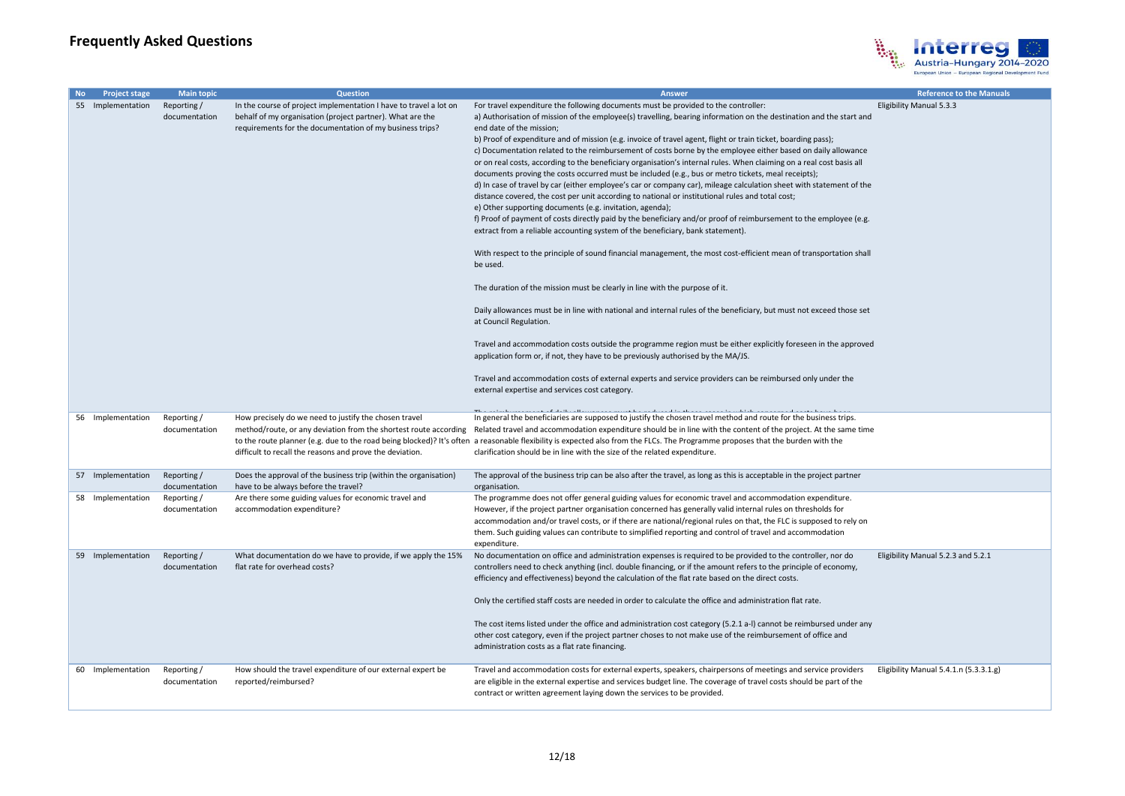

|  | <b>Project stage</b> | <b>Main topic</b>            | <b>Question</b>                                                                                                                                                                            | Answer                                                                                                                                                                                                                                                                                                                                                                                                                                                                                                                                                                                                                                                                                                                                                                                                                                                                                                                                                                                                                                                                                                                                                                                                                                                                                                                                                                                                                                                                                                                                                                                                                                                                                                                                                                    | <b>Reference to the Manuals</b>        |
|--|----------------------|------------------------------|--------------------------------------------------------------------------------------------------------------------------------------------------------------------------------------------|---------------------------------------------------------------------------------------------------------------------------------------------------------------------------------------------------------------------------------------------------------------------------------------------------------------------------------------------------------------------------------------------------------------------------------------------------------------------------------------------------------------------------------------------------------------------------------------------------------------------------------------------------------------------------------------------------------------------------------------------------------------------------------------------------------------------------------------------------------------------------------------------------------------------------------------------------------------------------------------------------------------------------------------------------------------------------------------------------------------------------------------------------------------------------------------------------------------------------------------------------------------------------------------------------------------------------------------------------------------------------------------------------------------------------------------------------------------------------------------------------------------------------------------------------------------------------------------------------------------------------------------------------------------------------------------------------------------------------------------------------------------------------|----------------------------------------|
|  | 55 Implementation    | Reporting /<br>documentation | In the course of project implementation I have to travel a lot on<br>behalf of my organisation (project partner). What are the<br>requirements for the documentation of my business trips? | For travel expenditure the following documents must be provided to the controller:<br>a) Authorisation of mission of the employee(s) travelling, bearing information on the destination and the start and<br>end date of the mission;<br>b) Proof of expenditure and of mission (e.g. invoice of travel agent, flight or train ticket, boarding pass);<br>c) Documentation related to the reimbursement of costs borne by the employee either based on daily allowance<br>or on real costs, according to the beneficiary organisation's internal rules. When claiming on a real cost basis all<br>documents proving the costs occurred must be included (e.g., bus or metro tickets, meal receipts);<br>d) In case of travel by car (either employee's car or company car), mileage calculation sheet with statement of the<br>distance covered, the cost per unit according to national or institutional rules and total cost;<br>e) Other supporting documents (e.g. invitation, agenda);<br>f) Proof of payment of costs directly paid by the beneficiary and/or proof of reimbursement to the employee (e.g.<br>extract from a reliable accounting system of the beneficiary, bank statement).<br>With respect to the principle of sound financial management, the most cost-efficient mean of transportation shall<br>be used.<br>The duration of the mission must be clearly in line with the purpose of it.<br>Daily allowances must be in line with national and internal rules of the beneficiary, but must not exceed those set<br>at Council Regulation.<br>Travel and accommodation costs outside the programme region must be either explicitly foreseen in the approved<br>application form or, if not, they have to be previously authorised by the MA/JS. | Eligibility Manual 5.3.3               |
|  |                      |                              |                                                                                                                                                                                            | Travel and accommodation costs of external experts and service providers can be reimbursed only under the<br>external expertise and services cost category.                                                                                                                                                                                                                                                                                                                                                                                                                                                                                                                                                                                                                                                                                                                                                                                                                                                                                                                                                                                                                                                                                                                                                                                                                                                                                                                                                                                                                                                                                                                                                                                                               |                                        |
|  | 56 Implementation    | Reporting/<br>documentation  | How precisely do we need to justify the chosen travel<br>method/route, or any deviation from the shortest route according<br>difficult to recall the reasons and prove the deviation.      | In general the beneficiaries are supposed to justify the chosen travel method and route for the business trips.<br>Related travel and accommodation expenditure should be in line with the content of the project. At the same time<br>to the route planner (e.g. due to the road being blocked)? It's often a reasonable flexibility is expected also from the FLCs. The Programme proposes that the burden with the<br>clarification should be in line with the size of the related expenditure.                                                                                                                                                                                                                                                                                                                                                                                                                                                                                                                                                                                                                                                                                                                                                                                                                                                                                                                                                                                                                                                                                                                                                                                                                                                                        |                                        |
|  | 57 Implementation    | Reporting /<br>documentation | Does the approval of the business trip (within the organisation)<br>have to be always before the travel?                                                                                   | The approval of the business trip can be also after the travel, as long as this is acceptable in the project partner<br>organisation.                                                                                                                                                                                                                                                                                                                                                                                                                                                                                                                                                                                                                                                                                                                                                                                                                                                                                                                                                                                                                                                                                                                                                                                                                                                                                                                                                                                                                                                                                                                                                                                                                                     |                                        |
|  | 58 Implementation    | Reporting/<br>documentation  | Are there some guiding values for economic travel and<br>accommodation expenditure?                                                                                                        | The programme does not offer general guiding values for economic travel and accommodation expenditure.<br>However, if the project partner organisation concerned has generally valid internal rules on thresholds for<br>accommodation and/or travel costs, or if there are national/regional rules on that, the FLC is supposed to rely on<br>them. Such guiding values can contribute to simplified reporting and control of travel and accommodation<br>expenditure.                                                                                                                                                                                                                                                                                                                                                                                                                                                                                                                                                                                                                                                                                                                                                                                                                                                                                                                                                                                                                                                                                                                                                                                                                                                                                                   |                                        |
|  | 59 Implementation    | Reporting/<br>documentation  | What documentation do we have to provide, if we apply the 15%<br>flat rate for overhead costs?                                                                                             | No documentation on office and administration expenses is required to be provided to the controller, nor do<br>controllers need to check anything (incl. double financing, or if the amount refers to the principle of economy,<br>efficiency and effectiveness) beyond the calculation of the flat rate based on the direct costs.<br>Only the certified staff costs are needed in order to calculate the office and administration flat rate.<br>The cost items listed under the office and administration cost category (5.2.1 a-I) cannot be reimbursed under any<br>other cost category, even if the project partner choses to not make use of the reimbursement of office and<br>administration costs as a flat rate financing.                                                                                                                                                                                                                                                                                                                                                                                                                                                                                                                                                                                                                                                                                                                                                                                                                                                                                                                                                                                                                                     | Eligibility Manual 5.2.3 and 5.2.1     |
|  | 60 Implementation    | Reporting/<br>documentation  | How should the travel expenditure of our external expert be<br>reported/reimbursed?                                                                                                        | Travel and accommodation costs for external experts, speakers, chairpersons of meetings and service providers<br>are eligible in the external expertise and services budget line. The coverage of travel costs should be part of the<br>contract or written agreement laying down the services to be provided.                                                                                                                                                                                                                                                                                                                                                                                                                                                                                                                                                                                                                                                                                                                                                                                                                                                                                                                                                                                                                                                                                                                                                                                                                                                                                                                                                                                                                                                            | Eligibility Manual 5.4.1.n (5.3.3.1.g) |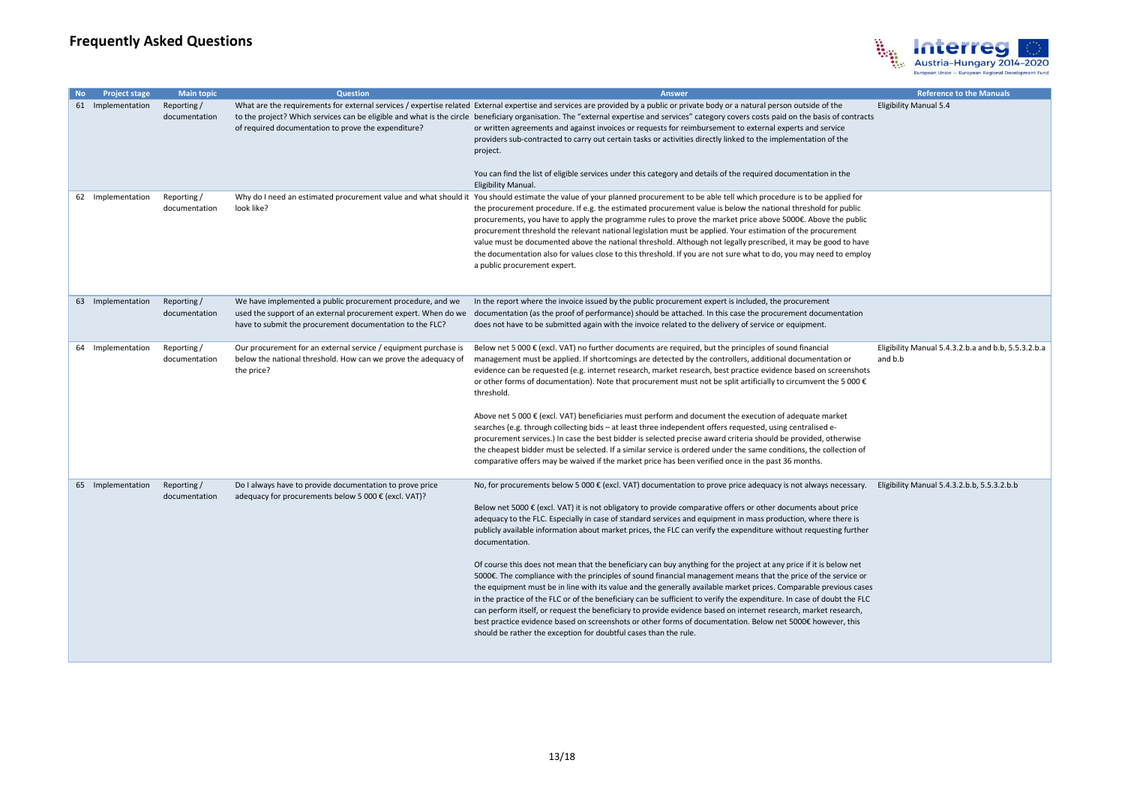

| <b>Project stage</b> | <b>Main topic</b>            | <b>Question</b>                                                                                                                                                                          | <b>Answer</b>                                                                                                                                                                                                                                                                                                                                                                                                                                                                                                                                                                                                                                                                                                                                                                                                                                                                                                                                                                                                                                                                                                                                                                                                                                                                       | <b>Reference to the Manuals</b>                                |
|----------------------|------------------------------|------------------------------------------------------------------------------------------------------------------------------------------------------------------------------------------|-------------------------------------------------------------------------------------------------------------------------------------------------------------------------------------------------------------------------------------------------------------------------------------------------------------------------------------------------------------------------------------------------------------------------------------------------------------------------------------------------------------------------------------------------------------------------------------------------------------------------------------------------------------------------------------------------------------------------------------------------------------------------------------------------------------------------------------------------------------------------------------------------------------------------------------------------------------------------------------------------------------------------------------------------------------------------------------------------------------------------------------------------------------------------------------------------------------------------------------------------------------------------------------|----------------------------------------------------------------|
| 61 Implementation    | Reporting/<br>documentation  | of required documentation to prove the expenditure?                                                                                                                                      | What are the requirements for external services / expertise related External expertise and services are provided by a public or private body or a natural person outside of the<br>to the project? Which services can be eligible and what is the circle beneficiary organisation. The "external expertise and services" category covers costs paid on the basis of contracts<br>or written agreements and against invoices or requests for reimbursement to external experts and service<br>providers sub-contracted to carry out certain tasks or activities directly linked to the implementation of the<br>project.<br>You can find the list of eligible services under this category and details of the required documentation in the<br>Eligibility Manual.                                                                                                                                                                                                                                                                                                                                                                                                                                                                                                                   | <b>Eligibility Manual 5.4</b>                                  |
| 62 Implementation    | Reporting/<br>documentation  | look like?                                                                                                                                                                               | Why do I need an estimated procurement value and what should it You should estimate the value of your planned procurement to be able tell which procedure is to be applied for<br>the procurement procedure. If e.g. the estimated procurement value is below the national threshold for public<br>procurements, you have to apply the programme rules to prove the market price above 5000€. Above the public<br>procurement threshold the relevant national legislation must be applied. Your estimation of the procurement<br>value must be documented above the national threshold. Although not legally prescribed, it may be good to have<br>the documentation also for values close to this threshold. If you are not sure what to do, you may need to employ<br>a public procurement expert.                                                                                                                                                                                                                                                                                                                                                                                                                                                                                |                                                                |
| 63 Implementation    | Reporting /<br>documentation | We have implemented a public procurement procedure, and we<br>used the support of an external procurement expert. When do we<br>have to submit the procurement documentation to the FLC? | In the report where the invoice issued by the public procurement expert is included, the procurement<br>documentation (as the proof of performance) should be attached. In this case the procurement documentation<br>does not have to be submitted again with the invoice related to the delivery of service or equipment.                                                                                                                                                                                                                                                                                                                                                                                                                                                                                                                                                                                                                                                                                                                                                                                                                                                                                                                                                         |                                                                |
| 64 Implementation    | Reporting /<br>documentation | Our procurement for an external service / equipment purchase is<br>below the national threshold. How can we prove the adequacy of<br>the price?                                          | Below net 5 000 $\epsilon$ (excl. VAT) no further documents are required, but the principles of sound financial<br>management must be applied. If shortcomings are detected by the controllers, additional documentation or<br>evidence can be requested (e.g. internet research, market research, best practice evidence based on screenshots<br>or other forms of documentation). Note that procurement must not be split artificially to circumvent the 5 000 €<br>threshold.<br>Above net 5 000 € (excl. VAT) beneficiaries must perform and document the execution of adequate market<br>searches (e.g. through collecting bids – at least three independent offers requested, using centralised e-<br>procurement services.) In case the best bidder is selected precise award criteria should be provided, otherwise<br>the cheapest bidder must be selected. If a similar service is ordered under the same conditions, the collection of<br>comparative offers may be waived if the market price has been verified once in the past 36 months.                                                                                                                                                                                                                             | Eligibility Manual 5.4.3.2.b.a and b.b, 5.5.3.2.b.a<br>and b.b |
| 65 Implementation    | Reporting/<br>documentation  | Do I always have to provide documentation to prove price<br>adequacy for procurements below 5 000 € (excl. VAT)?                                                                         | No, for procurements below 5 000 € (excl. VAT) documentation to prove price adequacy is not always necessary.<br>Below net 5000 € (excl. VAT) it is not obligatory to provide comparative offers or other documents about price<br>adequacy to the FLC. Especially in case of standard services and equipment in mass production, where there is<br>publicly available information about market prices, the FLC can verify the expenditure without requesting further<br>documentation.<br>Of course this does not mean that the beneficiary can buy anything for the project at any price if it is below net<br>5000€. The compliance with the principles of sound financial management means that the price of the service or<br>the equipment must be in line with its value and the generally available market prices. Comparable previous cases<br>in the practice of the FLC or of the beneficiary can be sufficient to verify the expenditure. In case of doubt the FLC<br>can perform itself, or request the beneficiary to provide evidence based on internet research, market research,<br>best practice evidence based on screenshots or other forms of documentation. Below net 5000€ however, this<br>should be rather the exception for doubtful cases than the rule. | Eligibility Manual 5.4.3.2.b.b, 5.5.3.2.b.b                    |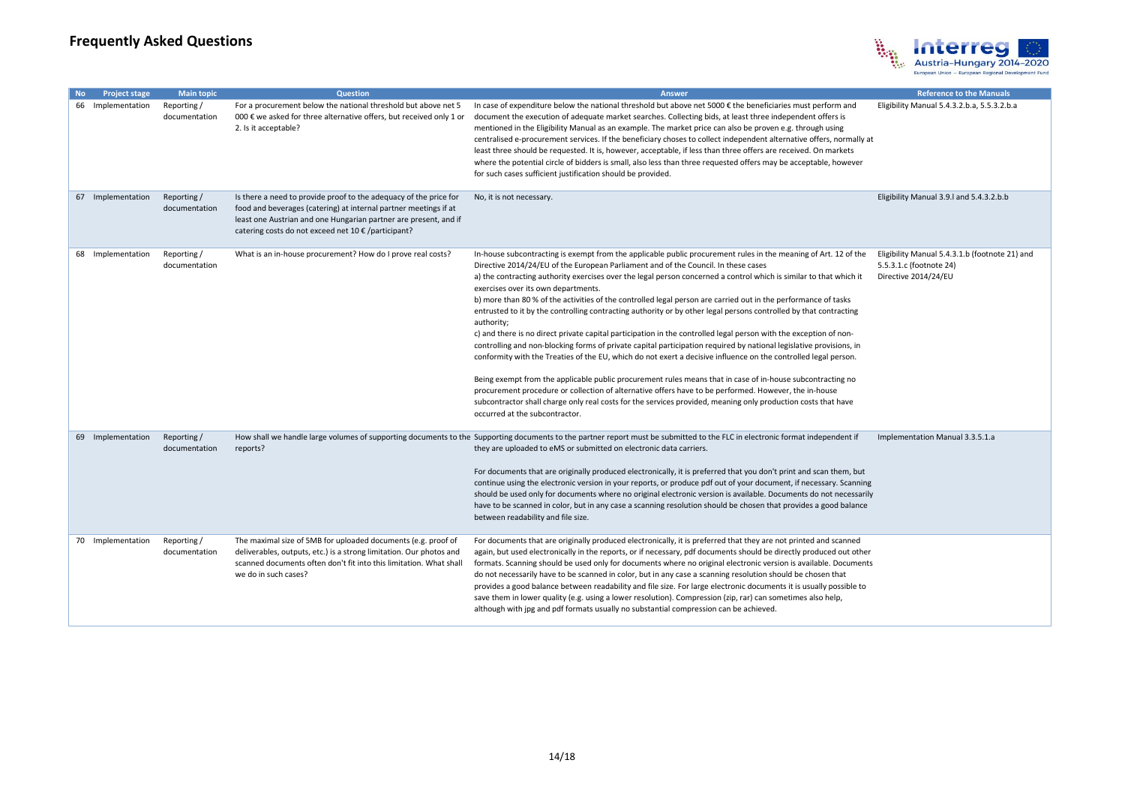

| <b>No</b> | <b>Project stage</b> | <b>Main topic</b>            | <b>Question</b>                                                                                                                                                                                                                                                  | <b>Answer</b>                                                                                                                                                                                                                                                                                                                                                                                                                                                                                                                                                                                                                                                                                                                                                                                                                                                                                                                                                                                                                                                                                                                                                                                                                                                                                                                                                   | <b>Reference to the Manuals</b>                                                                   |
|-----------|----------------------|------------------------------|------------------------------------------------------------------------------------------------------------------------------------------------------------------------------------------------------------------------------------------------------------------|-----------------------------------------------------------------------------------------------------------------------------------------------------------------------------------------------------------------------------------------------------------------------------------------------------------------------------------------------------------------------------------------------------------------------------------------------------------------------------------------------------------------------------------------------------------------------------------------------------------------------------------------------------------------------------------------------------------------------------------------------------------------------------------------------------------------------------------------------------------------------------------------------------------------------------------------------------------------------------------------------------------------------------------------------------------------------------------------------------------------------------------------------------------------------------------------------------------------------------------------------------------------------------------------------------------------------------------------------------------------|---------------------------------------------------------------------------------------------------|
|           | 66 Implementation    | Reporting/<br>documentation  | For a procurement below the national threshold but above net 5<br>000 € we asked for three alternative offers, but received only 1 or<br>2. Is it acceptable?                                                                                                    | In case of expenditure below the national threshold but above net 5000 € the beneficiaries must perform and<br>document the execution of adequate market searches. Collecting bids, at least three independent offers is<br>mentioned in the Eligibility Manual as an example. The market price can also be proven e.g. through using<br>centralised e-procurement services. If the beneficiary choses to collect independent alternative offers, normally at<br>least three should be requested. It is, however, acceptable, if less than three offers are received. On markets<br>where the potential circle of bidders is small, also less than three requested offers may be acceptable, however<br>for such cases sufficient justification should be provided.                                                                                                                                                                                                                                                                                                                                                                                                                                                                                                                                                                                             | Eligibility Manual 5.4.3.2.b.a, 5.5.3.2.b.a                                                       |
|           | 67 Implementation    | Reporting /<br>documentation | Is there a need to provide proof to the adequacy of the price for<br>food and beverages (catering) at internal partner meetings if at<br>least one Austrian and one Hungarian partner are present, and if<br>catering costs do not exceed net 10 € /participant? | No, it is not necessary.                                                                                                                                                                                                                                                                                                                                                                                                                                                                                                                                                                                                                                                                                                                                                                                                                                                                                                                                                                                                                                                                                                                                                                                                                                                                                                                                        | Eligibility Manual 3.9.I and 5.4.3.2.b.b                                                          |
|           | 68 Implementation    | Reporting /<br>documentation | What is an in-house procurement? How do I prove real costs?                                                                                                                                                                                                      | In-house subcontracting is exempt from the applicable public procurement rules in the meaning of Art. 12 of the<br>Directive 2014/24/EU of the European Parliament and of the Council. In these cases<br>a) the contracting authority exercises over the legal person concerned a control which is similar to that which it<br>exercises over its own departments.<br>b) more than 80% of the activities of the controlled legal person are carried out in the performance of tasks<br>entrusted to it by the controlling contracting authority or by other legal persons controlled by that contracting<br>authority;<br>c) and there is no direct private capital participation in the controlled legal person with the exception of non-<br>controlling and non-blocking forms of private capital participation required by national legislative provisions, in<br>conformity with the Treaties of the EU, which do not exert a decisive influence on the controlled legal person.<br>Being exempt from the applicable public procurement rules means that in case of in-house subcontracting no<br>procurement procedure or collection of alternative offers have to be performed. However, the in-house<br>subcontractor shall charge only real costs for the services provided, meaning only production costs that have<br>occurred at the subcontractor. | Eligibility Manual 5.4.3.1.b (footnote 21) and<br>5.5.3.1.c (footnote 24)<br>Directive 2014/24/EU |
|           | 69 Implementation    | Reporting /<br>documentation | reports?                                                                                                                                                                                                                                                         | How shall we handle large volumes of supporting documents to the Supporting documents to the partner report must be submitted to the FLC in electronic format independent if<br>they are uploaded to eMS or submitted on electronic data carriers.<br>For documents that are originally produced electronically, it is preferred that you don't print and scan them, but<br>continue using the electronic version in your reports, or produce pdf out of your document, if necessary. Scanning<br>should be used only for documents where no original electronic version is available. Documents do not necessarily<br>have to be scanned in color, but in any case a scanning resolution should be chosen that provides a good balance<br>between readability and file size.                                                                                                                                                                                                                                                                                                                                                                                                                                                                                                                                                                                   | Implementation Manual 3.3.5.1.a                                                                   |
|           | 70 Implementation    | Reporting/<br>documentation  | The maximal size of 5MB for uploaded documents (e.g. proof of<br>deliverables, outputs, etc.) is a strong limitation. Our photos and<br>scanned documents often don't fit into this limitation. What shall<br>we do in such cases?                               | For documents that are originally produced electronically, it is preferred that they are not printed and scanned<br>again, but used electronically in the reports, or if necessary, pdf documents should be directly produced out other<br>formats. Scanning should be used only for documents where no original electronic version is available. Documents<br>do not necessarily have to be scanned in color, but in any case a scanning resolution should be chosen that<br>provides a good balance between readability and file size. For large electronic documents it is usually possible to<br>save them in lower quality (e.g. using a lower resolution). Compression (zip, rar) can sometimes also help,<br>although with jpg and pdf formats usually no substantial compression can be achieved.                                                                                                                                                                                                                                                                                                                                                                                                                                                                                                                                                       |                                                                                                   |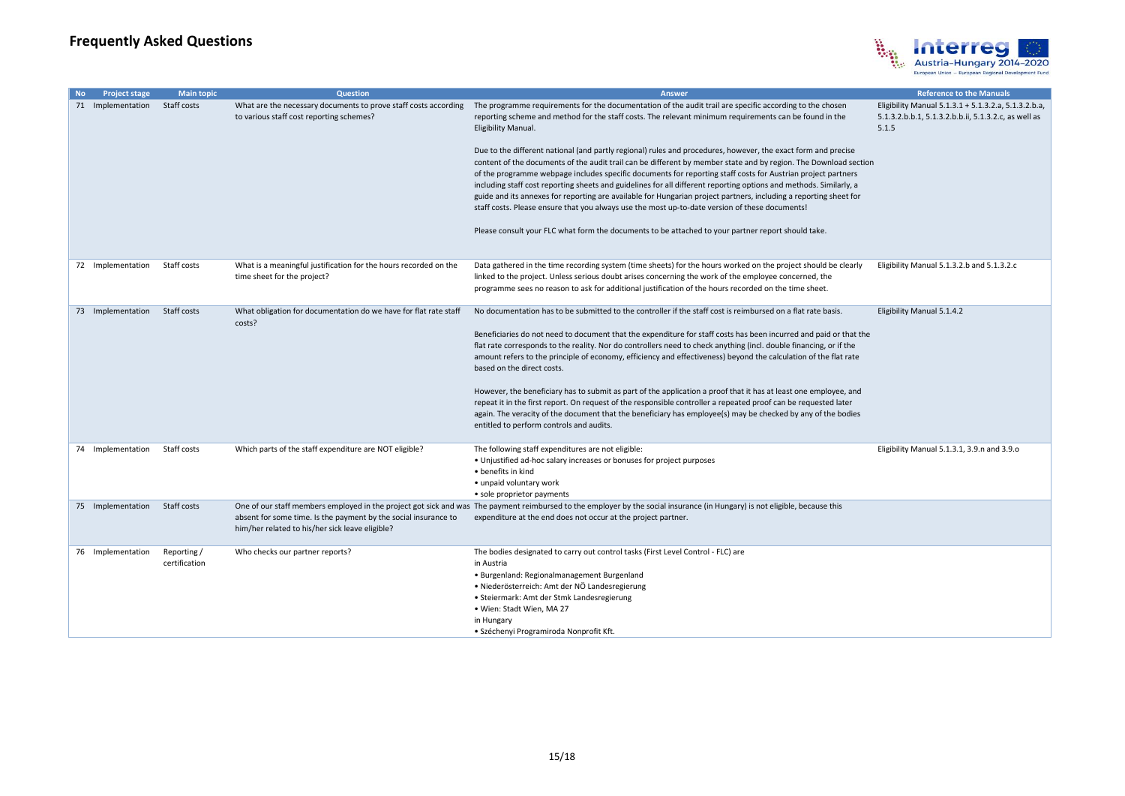

| <b>Project stage</b>          | <b>Main topic</b>           | <b>Question</b>                                                                                                    | <b>Answer</b>                                                                                                                                                                                                                                                                                                                                                                                                                                                                                                                                                                                                                                                                                                                                                                                                                                                                                                | <b>Reference to the Manuals</b>                                                                                       |
|-------------------------------|-----------------------------|--------------------------------------------------------------------------------------------------------------------|--------------------------------------------------------------------------------------------------------------------------------------------------------------------------------------------------------------------------------------------------------------------------------------------------------------------------------------------------------------------------------------------------------------------------------------------------------------------------------------------------------------------------------------------------------------------------------------------------------------------------------------------------------------------------------------------------------------------------------------------------------------------------------------------------------------------------------------------------------------------------------------------------------------|-----------------------------------------------------------------------------------------------------------------------|
| 71 Implementation             | Staff costs                 | What are the necessary documents to prove staff costs according<br>to various staff cost reporting schemes?        | The programme requirements for the documentation of the audit trail are specific according to the chosen<br>reporting scheme and method for the staff costs. The relevant minimum requirements can be found in the<br>Eligibility Manual.                                                                                                                                                                                                                                                                                                                                                                                                                                                                                                                                                                                                                                                                    | Eligibility Manual 5.1.3.1 + 5.1.3.2.a, 5.1.3.2.b.a,<br>5.1.3.2.b.b.1, 5.1.3.2.b.b.ii, 5.1.3.2.c, as well as<br>5.1.5 |
|                               |                             |                                                                                                                    | Due to the different national (and partly regional) rules and procedures, however, the exact form and precise<br>content of the documents of the audit trail can be different by member state and by region. The Download section<br>of the programme webpage includes specific documents for reporting staff costs for Austrian project partners<br>including staff cost reporting sheets and guidelines for all different reporting options and methods. Similarly, a<br>guide and its annexes for reporting are available for Hungarian project partners, including a reporting sheet for<br>staff costs. Please ensure that you always use the most up-to-date version of these documents!<br>Please consult your FLC what form the documents to be attached to your partner report should take.                                                                                                         |                                                                                                                       |
| 72 Implementation             | Staff costs                 | What is a meaningful justification for the hours recorded on the<br>time sheet for the project?                    | Data gathered in the time recording system (time sheets) for the hours worked on the project should be clearly<br>linked to the project. Unless serious doubt arises concerning the work of the employee concerned, the<br>programme sees no reason to ask for additional justification of the hours recorded on the time sheet.                                                                                                                                                                                                                                                                                                                                                                                                                                                                                                                                                                             | Eligibility Manual 5.1.3.2.b and 5.1.3.2.c                                                                            |
| 73 Implementation             | Staff costs                 | What obligation for documentation do we have for flat rate staff<br>costs?                                         | No documentation has to be submitted to the controller if the staff cost is reimbursed on a flat rate basis.<br>Beneficiaries do not need to document that the expenditure for staff costs has been incurred and paid or that the<br>flat rate corresponds to the reality. Nor do controllers need to check anything (incl. double financing, or if the<br>amount refers to the principle of economy, efficiency and effectiveness) beyond the calculation of the flat rate<br>based on the direct costs.<br>However, the beneficiary has to submit as part of the application a proof that it has at least one employee, and<br>repeat it in the first report. On request of the responsible controller a repeated proof can be requested later<br>again. The veracity of the document that the beneficiary has employee(s) may be checked by any of the bodies<br>entitled to perform controls and audits. | Eligibility Manual 5.1.4.2                                                                                            |
| 74 Implementation             | Staff costs                 | Which parts of the staff expenditure are NOT eligible?                                                             | The following staff expenditures are not eligible:<br>• Unjustified ad-hoc salary increases or bonuses for project purposes<br>• benefits in kind<br>• unpaid voluntary work<br>• sole proprietor payments                                                                                                                                                                                                                                                                                                                                                                                                                                                                                                                                                                                                                                                                                                   | Eligibility Manual 5.1.3.1, 3.9.n and 3.9.o                                                                           |
| 75 Implementation Staff costs |                             | absent for some time. Is the payment by the social insurance to<br>him/her related to his/her sick leave eligible? | One of our staff members employed in the project got sick and was The payment reimbursed to the employer by the social insurance (in Hungary) is not eligible, because this<br>expenditure at the end does not occur at the project partner.                                                                                                                                                                                                                                                                                                                                                                                                                                                                                                                                                                                                                                                                 |                                                                                                                       |
| 76 Implementation             | Reporting/<br>certification | Who checks our partner reports?                                                                                    | The bodies designated to carry out control tasks (First Level Control - FLC) are<br>in Austria<br>• Burgenland: Regionalmanagement Burgenland<br>· Niederösterreich: Amt der NÖ Landesregierung<br>• Steiermark: Amt der Stmk Landesregierung<br>· Wien: Stadt Wien, MA 27<br>in Hungary<br>· Széchenyi Programiroda Nonprofit Kft.                                                                                                                                                                                                                                                                                                                                                                                                                                                                                                                                                                          |                                                                                                                       |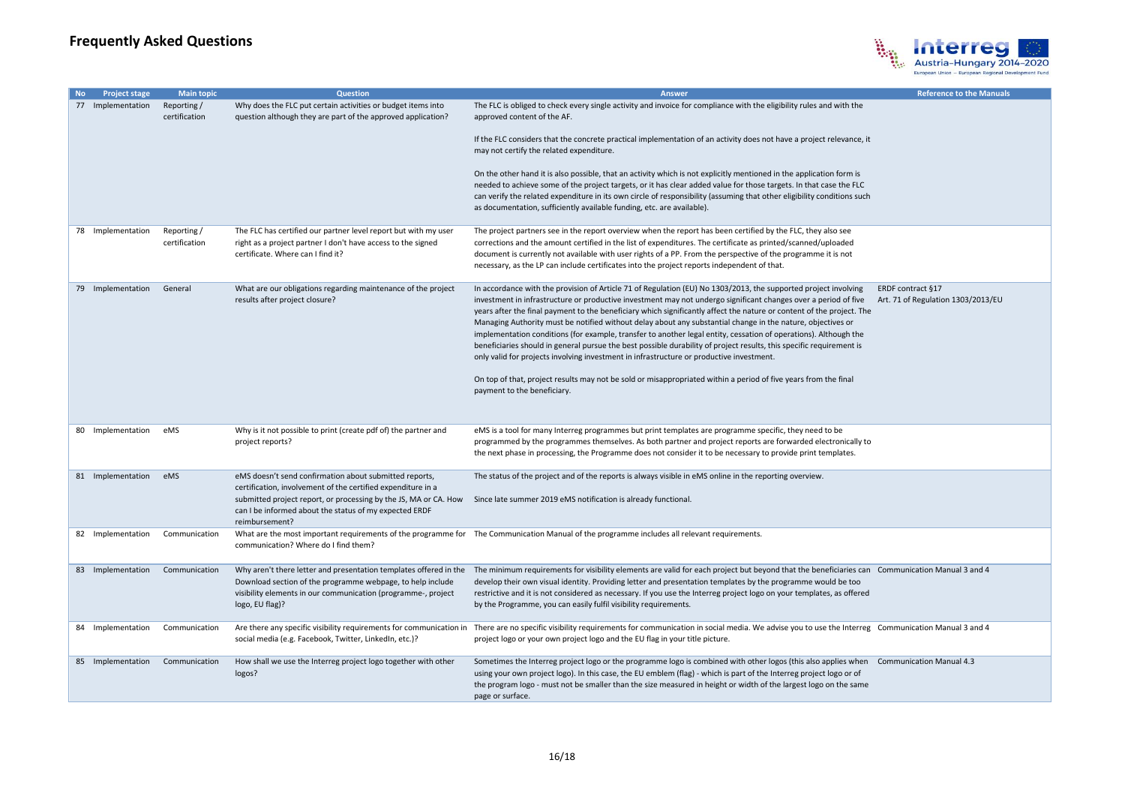

| <b>Project stage</b> | <b>Main topic</b>            | <b>Question</b>                                                                                                                 | <b>Answer</b>                                                                                                                                                                                                                                                  | <b>Reference to the Manuals</b>    |
|----------------------|------------------------------|---------------------------------------------------------------------------------------------------------------------------------|----------------------------------------------------------------------------------------------------------------------------------------------------------------------------------------------------------------------------------------------------------------|------------------------------------|
| 77 Implementation    | Reporting /<br>certification | Why does the FLC put certain activities or budget items into<br>question although they are part of the approved application?    | The FLC is obliged to check every single activity and invoice for compliance with the eligibility rules and with the<br>approved content of the AF.                                                                                                            |                                    |
|                      |                              |                                                                                                                                 | If the FLC considers that the concrete practical implementation of an activity does not have a project relevance, it<br>may not certify the related expenditure.                                                                                               |                                    |
|                      |                              |                                                                                                                                 | On the other hand it is also possible, that an activity which is not explicitly mentioned in the application form is                                                                                                                                           |                                    |
|                      |                              |                                                                                                                                 | needed to achieve some of the project targets, or it has clear added value for those targets. In that case the FLC<br>can verify the related expenditure in its own circle of responsibility (assuming that other eligibility conditions such                  |                                    |
|                      |                              |                                                                                                                                 | as documentation, sufficiently available funding, etc. are available).                                                                                                                                                                                         |                                    |
| 78 Implementation    | Reporting/<br>certification  | The FLC has certified our partner level report but with my user<br>right as a project partner I don't have access to the signed | The project partners see in the report overview when the report has been certified by the FLC, they also see<br>corrections and the amount certified in the list of expenditures. The certificate as printed/scanned/uploaded                                  |                                    |
|                      |                              | certificate. Where can I find it?                                                                                               | document is currently not available with user rights of a PP. From the perspective of the programme it is not                                                                                                                                                  |                                    |
|                      |                              |                                                                                                                                 | necessary, as the LP can include certificates into the project reports independent of that.                                                                                                                                                                    |                                    |
| 79 Implementation    | General                      | What are our obligations regarding maintenance of the project                                                                   | In accordance with the provision of Article 71 of Regulation (EU) No 1303/2013, the supported project involving                                                                                                                                                | ERDF contract §17                  |
|                      |                              | results after project closure?                                                                                                  | investment in infrastructure or productive investment may not undergo significant changes over a period of five<br>years after the final payment to the beneficiary which significantly affect the nature or content of the project. The                       | Art. 71 of Regulation 1303/2013/EU |
|                      |                              |                                                                                                                                 | Managing Authority must be notified without delay about any substantial change in the nature, objectives or                                                                                                                                                    |                                    |
|                      |                              |                                                                                                                                 | implementation conditions (for example, transfer to another legal entity, cessation of operations). Although the<br>beneficiaries should in general pursue the best possible durability of project results, this specific requirement is                       |                                    |
|                      |                              |                                                                                                                                 | only valid for projects involving investment in infrastructure or productive investment.                                                                                                                                                                       |                                    |
|                      |                              |                                                                                                                                 | On top of that, project results may not be sold or misappropriated within a period of five years from the final                                                                                                                                                |                                    |
|                      |                              |                                                                                                                                 | payment to the beneficiary.                                                                                                                                                                                                                                    |                                    |
|                      |                              |                                                                                                                                 |                                                                                                                                                                                                                                                                |                                    |
| 80 Implementation    | eMS                          | Why is it not possible to print (create pdf of) the partner and<br>project reports?                                             | eMS is a tool for many Interreg programmes but print templates are programme specific, they need to be<br>programmed by the programmes themselves. As both partner and project reports are forwarded electronically to                                         |                                    |
|                      |                              |                                                                                                                                 | the next phase in processing, the Programme does not consider it to be necessary to provide print templates.                                                                                                                                                   |                                    |
| 81 Implementation    | eMS                          | eMS doesn't send confirmation about submitted reports,                                                                          | The status of the project and of the reports is always visible in eMS online in the reporting overview.                                                                                                                                                        |                                    |
|                      |                              | certification, involvement of the certified expenditure in a                                                                    |                                                                                                                                                                                                                                                                |                                    |
|                      |                              | submitted project report, or processing by the JS, MA or CA. How<br>can I be informed about the status of my expected ERDF      | Since late summer 2019 eMS notification is already functional.                                                                                                                                                                                                 |                                    |
|                      |                              | reimbursement?                                                                                                                  |                                                                                                                                                                                                                                                                |                                    |
| 82 Implementation    | Communication                | communication? Where do I find them?                                                                                            | What are the most important requirements of the programme for The Communication Manual of the programme includes all relevant requirements.                                                                                                                    |                                    |
|                      |                              |                                                                                                                                 |                                                                                                                                                                                                                                                                |                                    |
| 83 Implementation    | Communication                | Why aren't there letter and presentation templates offered in the<br>Download section of the programme webpage, to help include | The minimum requirements for visibility elements are valid for each project but beyond that the beneficiaries can Communication Manual 3 and 4<br>develop their own visual identity. Providing letter and presentation templates by the programme would be too |                                    |
|                      |                              | visibility elements in our communication (programme-, project                                                                   | restrictive and it is not considered as necessary. If you use the Interreg project logo on your templates, as offered                                                                                                                                          |                                    |
|                      |                              | logo, EU flag)?                                                                                                                 | by the Programme, you can easily fulfil visibility requirements.                                                                                                                                                                                               |                                    |
| 84 Implementation    | Communication                |                                                                                                                                 | Are there any specific visibility requirements for communication in There are no specific visibility requirements for communication in social media. We advise you to use the Interreg Communication Manual 3 and 4                                            |                                    |
|                      |                              | social media (e.g. Facebook, Twitter, LinkedIn, etc.)?                                                                          | project logo or your own project logo and the EU flag in your title picture.                                                                                                                                                                                   |                                    |
| 85 Implementation    | Communication                | How shall we use the Interreg project logo together with other                                                                  | Sometimes the Interreg project logo or the programme logo is combined with other logos (this also applies when<br>using your own project logo). In this case, the EU emblem (flag) - which is part of the Interreg project logo or of                          | <b>Communication Manual 4.3</b>    |
|                      |                              | logos?                                                                                                                          | the program logo - must not be smaller than the size measured in height or width of the largest logo on the same                                                                                                                                               |                                    |
|                      |                              |                                                                                                                                 | page or surface.                                                                                                                                                                                                                                               |                                    |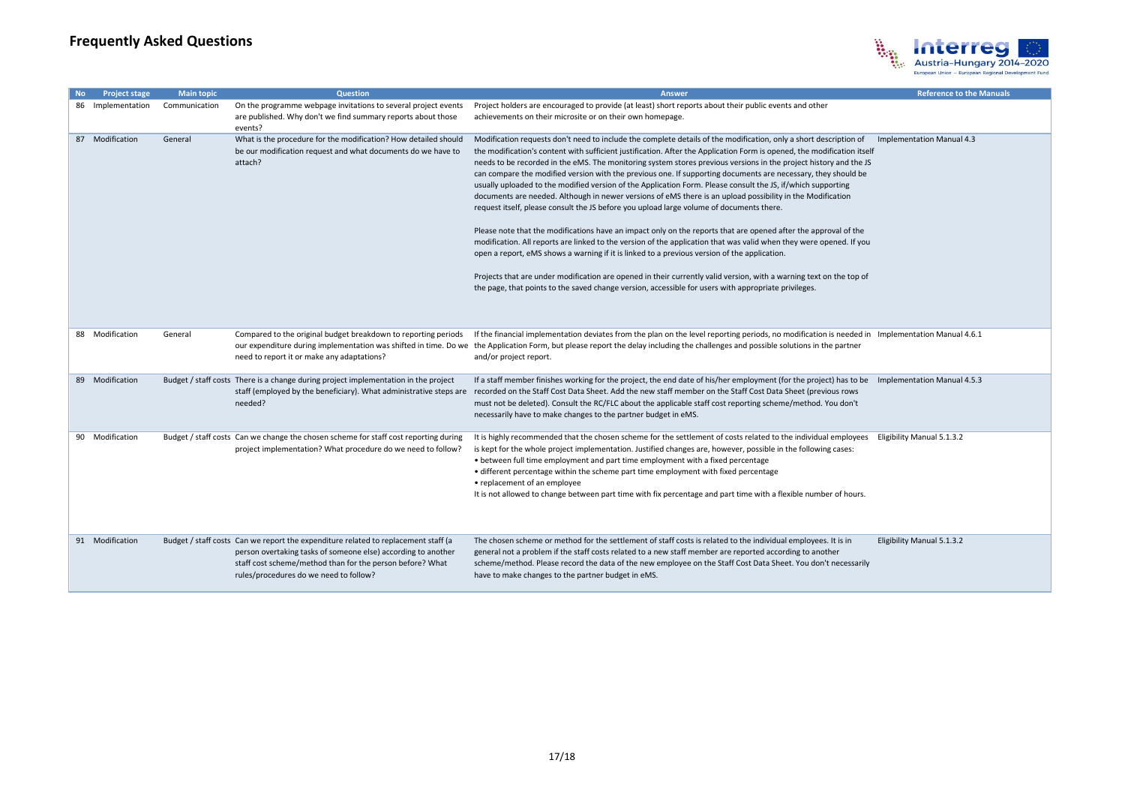

| <b>No</b> | <b>Project stage</b> | <b>Main topic</b> | <b>Question</b>                                                                                                                                                                                                                                            | <b>Answer</b>                                                                                                                                                                                                                                                                                                                                                                                                                                                                                                                                                                                                                                                                                                                                                                                                                                                                                                                                                                                                                                                                                                                                                                                                                                                                                                                                                                         | <b>Reference to the Manuals</b> |
|-----------|----------------------|-------------------|------------------------------------------------------------------------------------------------------------------------------------------------------------------------------------------------------------------------------------------------------------|---------------------------------------------------------------------------------------------------------------------------------------------------------------------------------------------------------------------------------------------------------------------------------------------------------------------------------------------------------------------------------------------------------------------------------------------------------------------------------------------------------------------------------------------------------------------------------------------------------------------------------------------------------------------------------------------------------------------------------------------------------------------------------------------------------------------------------------------------------------------------------------------------------------------------------------------------------------------------------------------------------------------------------------------------------------------------------------------------------------------------------------------------------------------------------------------------------------------------------------------------------------------------------------------------------------------------------------------------------------------------------------|---------------------------------|
|           | 86 Implementation    | Communication     | On the programme webpage invitations to several project events<br>are published. Why don't we find summary reports about those<br>events?                                                                                                                  | Project holders are encouraged to provide (at least) short reports about their public events and other<br>achievements on their microsite or on their own homepage.                                                                                                                                                                                                                                                                                                                                                                                                                                                                                                                                                                                                                                                                                                                                                                                                                                                                                                                                                                                                                                                                                                                                                                                                                   |                                 |
|           | 87 Modification      | General           | What is the procedure for the modification? How detailed should<br>be our modification request and what documents do we have to<br>attach?                                                                                                                 | Modification requests don't need to include the complete details of the modification, only a short description of<br>the modification's content with sufficient justification. After the Application Form is opened, the modification itself<br>needs to be recorded in the eMS. The monitoring system stores previous versions in the project history and the JS<br>can compare the modified version with the previous one. If supporting documents are necessary, they should be<br>usually uploaded to the modified version of the Application Form. Please consult the JS, if/which supporting<br>documents are needed. Although in newer versions of eMS there is an upload possibility in the Modification<br>request itself, please consult the JS before you upload large volume of documents there.<br>Please note that the modifications have an impact only on the reports that are opened after the approval of the<br>modification. All reports are linked to the version of the application that was valid when they were opened. If you<br>open a report, eMS shows a warning if it is linked to a previous version of the application.<br>Projects that are under modification are opened in their currently valid version, with a warning text on the top of<br>the page, that points to the saved change version, accessible for users with appropriate privileges. | Implementation Manual 4.3       |
|           | 88 Modification      | General           | Compared to the original budget breakdown to reporting periods<br>need to report it or make any adaptations?                                                                                                                                               | If the financial implementation deviates from the plan on the level reporting periods, no modification is needed in Implementation Manual 4.6.1<br>our expenditure during implementation was shifted in time. Do we the Application Form, but please report the delay including the challenges and possible solutions in the partner<br>and/or project report.                                                                                                                                                                                                                                                                                                                                                                                                                                                                                                                                                                                                                                                                                                                                                                                                                                                                                                                                                                                                                        |                                 |
|           | 89 Modification      |                   | Budget / staff costs There is a change during project implementation in the project<br>staff (employed by the beneficiary). What administrative steps are<br>needed?                                                                                       | If a staff member finishes working for the project, the end date of his/her employment (for the project) has to be Implementation Manual 4.5.3<br>recorded on the Staff Cost Data Sheet. Add the new staff member on the Staff Cost Data Sheet (previous rows<br>must not be deleted). Consult the RC/FLC about the applicable staff cost reporting scheme/method. You don't<br>necessarily have to make changes to the partner budget in eMS.                                                                                                                                                                                                                                                                                                                                                                                                                                                                                                                                                                                                                                                                                                                                                                                                                                                                                                                                        |                                 |
|           | 90 Modification      |                   | Budget / staff costs Can we change the chosen scheme for staff cost reporting during<br>project implementation? What procedure do we need to follow?                                                                                                       | It is highly recommended that the chosen scheme for the settlement of costs related to the individual employees Eligibility Manual 5.1.3.2<br>is kept for the whole project implementation. Justified changes are, however, possible in the following cases:<br>• between full time employment and part time employment with a fixed percentage<br>• different percentage within the scheme part time employment with fixed percentage<br>• replacement of an employee<br>It is not allowed to change between part time with fix percentage and part time with a flexible number of hours.                                                                                                                                                                                                                                                                                                                                                                                                                                                                                                                                                                                                                                                                                                                                                                                            |                                 |
|           | 91 Modification      |                   | Budget / staff costs Can we report the expenditure related to replacement staff (a<br>person overtaking tasks of someone else) according to another<br>staff cost scheme/method than for the person before? What<br>rules/procedures do we need to follow? | The chosen scheme or method for the settlement of staff costs is related to the individual employees. It is in<br>general not a problem if the staff costs related to a new staff member are reported according to another<br>scheme/method. Please record the data of the new employee on the Staff Cost Data Sheet. You don't necessarily<br>have to make changes to the partner budget in eMS.                                                                                                                                                                                                                                                                                                                                                                                                                                                                                                                                                                                                                                                                                                                                                                                                                                                                                                                                                                                     | Eligibility Manual 5.1.3.2      |